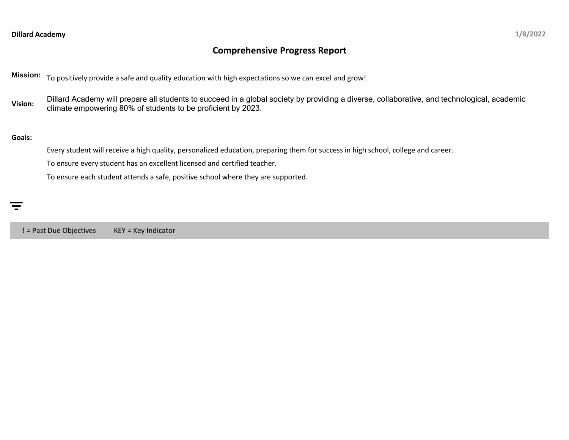# **Comprehensive Progress Report**

**Mission:** To positively provide a safe and quality education with high expectations so we can excel and grow!

Vision: Dillard Academy will prepare all students to succeed in a global society by providing a diverse, collaborative, and technological, academic<br>Vision: elimete envancements a 90% of students to be medicient by 2022. climate empowering 80% of students to be proficient by 2023.

### **Goals:**

Every student will receive a high quality, personalized education, preparing them for success in high school, college and career.

To ensure every student has an excellent licensed and certified teacher.

To ensure each student attends a safe, positive school where they are supported.

! = Past Due Objectives KEY = Key Indicator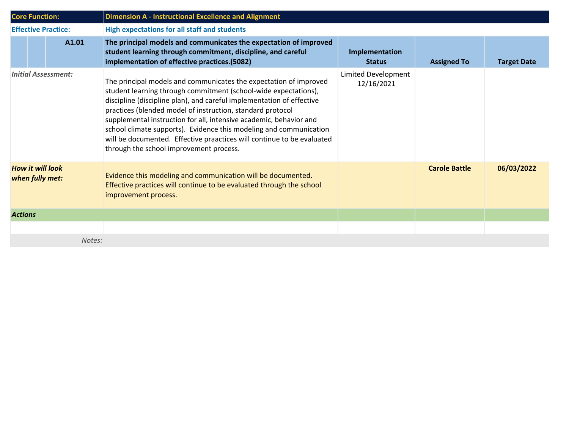| <b>Core Function:</b>                      |  |                            | <b>Dimension A - Instructional Excellence and Alignment</b>                                                                                                                                                                                                                                                                                                                                                                                                                                                                                  |                                   |                      |                    |  |  |
|--------------------------------------------|--|----------------------------|----------------------------------------------------------------------------------------------------------------------------------------------------------------------------------------------------------------------------------------------------------------------------------------------------------------------------------------------------------------------------------------------------------------------------------------------------------------------------------------------------------------------------------------------|-----------------------------------|----------------------|--------------------|--|--|
| <b>Effective Practice:</b>                 |  |                            | <b>High expectations for all staff and students</b>                                                                                                                                                                                                                                                                                                                                                                                                                                                                                          |                                   |                      |                    |  |  |
|                                            |  | A1.01                      | The principal models and communicates the expectation of improved<br>student learning through commitment, discipline, and careful<br>implementation of effective practices.(5082)                                                                                                                                                                                                                                                                                                                                                            | Implementation<br><b>Status</b>   | <b>Assigned To</b>   | <b>Target Date</b> |  |  |
|                                            |  | <b>Initial Assessment:</b> | The principal models and communicates the expectation of improved<br>student learning through commitment (school-wide expectations),<br>discipline (discipline plan), and careful implementation of effective<br>practices (blended model of instruction, standard protocol<br>supplemental instruction for all, intensive academic, behavior and<br>school climate supports). Evidence this modeling and communication<br>will be documented. Effective praactices will continue to be evaluated<br>through the school improvement process. | Limited Development<br>12/16/2021 |                      |                    |  |  |
| <b>How it will look</b><br>when fully met: |  |                            | Evidence this modeling and communication will be documented.<br>Effective practices will continue to be evaluated through the school<br>improvement process.                                                                                                                                                                                                                                                                                                                                                                                 |                                   | <b>Carole Battle</b> | 06/03/2022         |  |  |
| <b>Actions</b>                             |  |                            |                                                                                                                                                                                                                                                                                                                                                                                                                                                                                                                                              |                                   |                      |                    |  |  |
|                                            |  |                            |                                                                                                                                                                                                                                                                                                                                                                                                                                                                                                                                              |                                   |                      |                    |  |  |
|                                            |  | Notes:                     |                                                                                                                                                                                                                                                                                                                                                                                                                                                                                                                                              |                                   |                      |                    |  |  |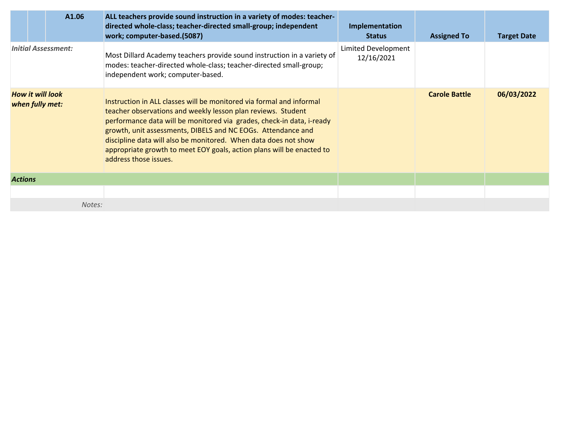|                | A1.06                                      | ALL teachers provide sound instruction in a variety of modes: teacher-<br>directed whole-class; teacher-directed small-group; independent<br>work; computer-based.(5087)                                                                                                                                                                                                                                                                           | Implementation<br><b>Status</b>   | <b>Assigned To</b>   | <b>Target Date</b> |
|----------------|--------------------------------------------|----------------------------------------------------------------------------------------------------------------------------------------------------------------------------------------------------------------------------------------------------------------------------------------------------------------------------------------------------------------------------------------------------------------------------------------------------|-----------------------------------|----------------------|--------------------|
|                | <b>Initial Assessment:</b>                 | Most Dillard Academy teachers provide sound instruction in a variety of<br>modes: teacher-directed whole-class; teacher-directed small-group;<br>independent work; computer-based.                                                                                                                                                                                                                                                                 | Limited Development<br>12/16/2021 |                      |                    |
|                | <b>How it will look</b><br>when fully met: | Instruction in ALL classes will be monitored via formal and informal<br>teacher observations and weekly lesson plan reviews. Student<br>performance data will be monitored via grades, check-in data, i-ready<br>growth, unit assessments, DIBELS and NC EOGs. Attendance and<br>discipline data will also be monitored. When data does not show<br>appropriate growth to meet EOY goals, action plans will be enacted to<br>address those issues. |                                   | <b>Carole Battle</b> | 06/03/2022         |
| <b>Actions</b> |                                            |                                                                                                                                                                                                                                                                                                                                                                                                                                                    |                                   |                      |                    |
|                |                                            |                                                                                                                                                                                                                                                                                                                                                                                                                                                    |                                   |                      |                    |
|                | Notes:                                     |                                                                                                                                                                                                                                                                                                                                                                                                                                                    |                                   |                      |                    |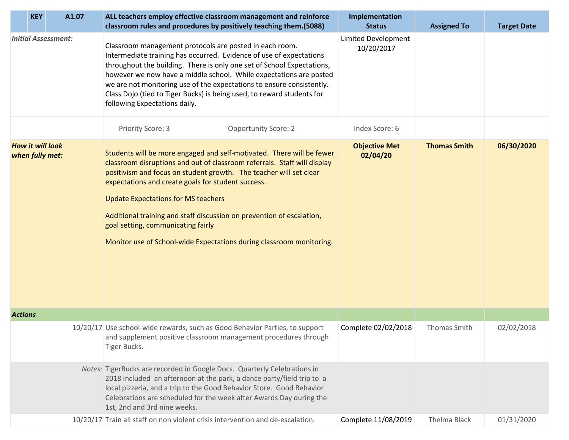| A1.07<br><b>KEY</b>                        | ALL teachers employ effective classroom management and reinforce<br>classroom rules and procedures by positively teaching them.(5088)                                                                                                                                                                                                                                                                                                                                                                              | Implementation<br><b>Status</b>          | <b>Assigned To</b>  | <b>Target Date</b> |
|--------------------------------------------|--------------------------------------------------------------------------------------------------------------------------------------------------------------------------------------------------------------------------------------------------------------------------------------------------------------------------------------------------------------------------------------------------------------------------------------------------------------------------------------------------------------------|------------------------------------------|---------------------|--------------------|
| <b>Initial Assessment:</b>                 | Classroom management protocols are posted in each room.<br>Intermediate training has occurred. Evidence of use of expectations<br>throughout the building. There is only one set of School Expectations,<br>however we now have a middle school. While expectations are posted<br>we are not monitoring use of the expectations to ensure consistently.<br>Class Dojo (tied to Tiger Bucks) is being used, to reward students for<br>following Expectations daily.                                                 | <b>Limited Development</b><br>10/20/2017 |                     |                    |
|                                            | Priority Score: 3<br><b>Opportunity Score: 2</b>                                                                                                                                                                                                                                                                                                                                                                                                                                                                   | Index Score: 6                           |                     |                    |
| <b>How it will look</b><br>when fully met: | Students will be more engaged and self-motivated. There will be fewer<br>classroom disruptions and out of classroom referrals. Staff will display<br>positivism and focus on student growth. The teacher will set clear<br>expectations and create goals for student success.<br><b>Update Expectations for MS teachers</b><br>Additional training and staff discussion on prevention of escalation,<br>goal setting, communicating fairly<br>Monitor use of School-wide Expectations during classroom monitoring. | <b>Objective Met</b><br>02/04/20         | <b>Thomas Smith</b> | 06/30/2020         |
| <b>Actions</b>                             |                                                                                                                                                                                                                                                                                                                                                                                                                                                                                                                    |                                          |                     |                    |
|                                            | 10/20/17 Use school-wide rewards, such as Good Behavior Parties, to support<br>and supplement positive classroom management procedures through<br>Tiger Bucks.                                                                                                                                                                                                                                                                                                                                                     | Complete 02/02/2018                      | <b>Thomas Smith</b> | 02/02/2018         |
|                                            | Notes: TigerBucks are recorded in Google Docs. Quarterly Celebrations in<br>2018 included an afternoon at the park, a dance party/field trip to a<br>local pizzeria, and a trip to the Good Behavior Store. Good Behavior<br>Celebrations are scheduled for the week after Awards Day during the<br>1st, 2nd and 3rd nine weeks.                                                                                                                                                                                   |                                          |                     |                    |
|                                            | 10/20/17 Train all staff on non violent crisis intervention and de-escalation.                                                                                                                                                                                                                                                                                                                                                                                                                                     | Complete 11/08/2019                      | Thelma Black        | 01/31/2020         |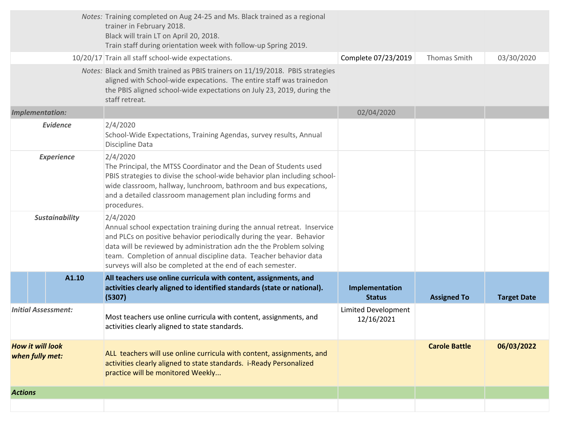|                                            |                        | Notes: Training completed on Aug 24-25 and Ms. Black trained as a regional<br>trainer in February 2018.<br>Black will train LT on April 20, 2018.<br>Train staff during orientation week with follow-up Spring 2019.                                                                                                                                                   |                                          |                      |                    |
|--------------------------------------------|------------------------|------------------------------------------------------------------------------------------------------------------------------------------------------------------------------------------------------------------------------------------------------------------------------------------------------------------------------------------------------------------------|------------------------------------------|----------------------|--------------------|
|                                            |                        | 10/20/17 Train all staff school-wide expectations.                                                                                                                                                                                                                                                                                                                     | Complete 07/23/2019                      | Thomas Smith         | 03/30/2020         |
|                                            |                        | Notes: Black and Smith trained as PBIS trainers on 11/19/2018. PBIS strategies<br>aligned with School-wide expecations. The entire staff was trainedon<br>the PBIS aligned school-wide expectations on July 23, 2019, during the<br>staff retreat.                                                                                                                     |                                          |                      |                    |
|                                            | <b>Implementation:</b> |                                                                                                                                                                                                                                                                                                                                                                        | 02/04/2020                               |                      |                    |
|                                            | <b>Evidence</b>        | 2/4/2020<br>School-Wide Expectations, Training Agendas, survey results, Annual<br>Discipline Data                                                                                                                                                                                                                                                                      |                                          |                      |                    |
| <b>Experience</b>                          |                        | 2/4/2020<br>The Principal, the MTSS Coordinator and the Dean of Students used<br>PBIS strategies to divise the school-wide behavior plan including school-<br>wide classroom, hallway, lunchroom, bathroom and bus expecations,<br>and a detailed classroom management plan including forms and<br>procedures.                                                         |                                          |                      |                    |
| <b>Sustainability</b>                      |                        | 2/4/2020<br>Annual school expectation training during the annual retreat. Inservice<br>and PLCs on positive behavior periodically during the year. Behavior<br>data will be reviewed by administration adn the the Problem solving<br>team. Completion of annual discipline data. Teacher behavior data<br>surveys will also be completed at the end of each semester. |                                          |                      |                    |
|                                            | A1.10                  | All teachers use online curricula with content, assignments, and<br>activities clearly aligned to identified standards (state or national).<br>(5307)                                                                                                                                                                                                                  | Implementation<br><b>Status</b>          | <b>Assigned To</b>   | <b>Target Date</b> |
| <b>Initial Assessment:</b>                 |                        | Most teachers use online curricula with content, assignments, and<br>activities clearly aligned to state standards.                                                                                                                                                                                                                                                    | <b>Limited Development</b><br>12/16/2021 |                      |                    |
| <b>How it will look</b><br>when fully met: |                        | ALL teachers will use online curricula with content, assignments, and<br>activities clearly aligned to state standards. i-Ready Personalized<br>practice will be monitored Weekly                                                                                                                                                                                      |                                          | <b>Carole Battle</b> | 06/03/2022         |
| <b>Actions</b>                             |                        |                                                                                                                                                                                                                                                                                                                                                                        |                                          |                      |                    |
|                                            |                        |                                                                                                                                                                                                                                                                                                                                                                        |                                          |                      |                    |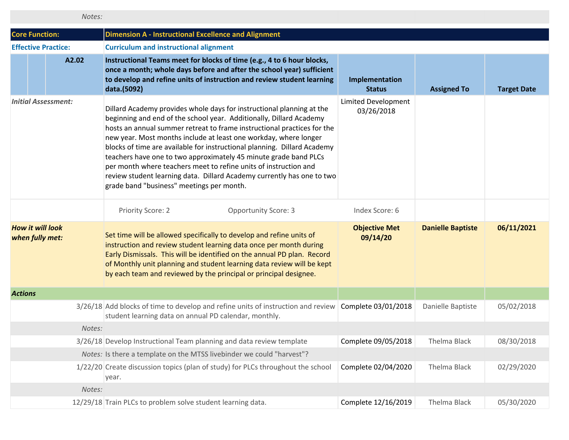|                                            | Notes: |                                                                                                                                                                                                                                                                                                                                                                                                                                                                                                                                                                                                                                        |                                   |                          |                    |
|--------------------------------------------|--------|----------------------------------------------------------------------------------------------------------------------------------------------------------------------------------------------------------------------------------------------------------------------------------------------------------------------------------------------------------------------------------------------------------------------------------------------------------------------------------------------------------------------------------------------------------------------------------------------------------------------------------------|-----------------------------------|--------------------------|--------------------|
| <b>Core Function:</b>                      |        | <b>Dimension A - Instructional Excellence and Alignment</b>                                                                                                                                                                                                                                                                                                                                                                                                                                                                                                                                                                            |                                   |                          |                    |
| <b>Effective Practice:</b>                 |        | <b>Curriculum and instructional alignment</b>                                                                                                                                                                                                                                                                                                                                                                                                                                                                                                                                                                                          |                                   |                          |                    |
|                                            | A2.02  | Instructional Teams meet for blocks of time (e.g., 4 to 6 hour blocks,<br>once a month; whole days before and after the school year) sufficient<br>to develop and refine units of instruction and review student learning<br>data.(5092)                                                                                                                                                                                                                                                                                                                                                                                               | Implementation<br><b>Status</b>   | <b>Assigned To</b>       | <b>Target Date</b> |
| <b>Initial Assessment:</b>                 |        | Dillard Academy provides whole days for instructional planning at the<br>beginning and end of the school year. Additionally, Dillard Academy<br>hosts an annual summer retreat to frame instructional practices for the<br>new year. Most months include at least one workday, where longer<br>blocks of time are available for instructional planning. Dillard Academy<br>teachers have one to two approximately 45 minute grade band PLCs<br>per month where teachers meet to refine units of instruction and<br>review student learning data. Dillard Academy currently has one to two<br>grade band "business" meetings per month. | Limited Development<br>03/26/2018 |                          |                    |
|                                            |        | Priority Score: 2<br><b>Opportunity Score: 3</b>                                                                                                                                                                                                                                                                                                                                                                                                                                                                                                                                                                                       | Index Score: 6                    |                          |                    |
| <b>How it will look</b><br>when fully met: |        | Set time will be allowed specifically to develop and refine units of<br>instruction and review student learning data once per month during<br>Early Dismissals. This will be identified on the annual PD plan. Record<br>of Monthly unit planning and student learning data review will be kept<br>by each team and reviewed by the principal or principal designee.                                                                                                                                                                                                                                                                   | <b>Objective Met</b><br>09/14/20  | <b>Danielle Baptiste</b> | 06/11/2021         |
| <b>Actions</b>                             |        |                                                                                                                                                                                                                                                                                                                                                                                                                                                                                                                                                                                                                                        |                                   |                          |                    |
|                                            |        | 3/26/18 Add blocks of time to develop and refine units of instruction and review Complete 03/01/2018<br>student learning data on annual PD calendar, monthly.                                                                                                                                                                                                                                                                                                                                                                                                                                                                          |                                   | Danielle Baptiste        | 05/02/2018         |
|                                            | Notes: |                                                                                                                                                                                                                                                                                                                                                                                                                                                                                                                                                                                                                                        |                                   |                          |                    |
|                                            |        | 3/26/18 Develop Instructional Team planning and data review template                                                                                                                                                                                                                                                                                                                                                                                                                                                                                                                                                                   | Complete 09/05/2018               | Thelma Black             | 08/30/2018         |
|                                            |        | Notes: Is there a template on the MTSS livebinder we could "harvest"?                                                                                                                                                                                                                                                                                                                                                                                                                                                                                                                                                                  |                                   |                          |                    |
|                                            |        | 1/22/20 Create discussion topics (plan of study) for PLCs throughout the school<br>year.                                                                                                                                                                                                                                                                                                                                                                                                                                                                                                                                               | Complete 02/04/2020               | Thelma Black             | 02/29/2020         |
|                                            | Notes: |                                                                                                                                                                                                                                                                                                                                                                                                                                                                                                                                                                                                                                        |                                   |                          |                    |
|                                            |        | 12/29/18 Train PLCs to problem solve student learning data.                                                                                                                                                                                                                                                                                                                                                                                                                                                                                                                                                                            | Complete 12/16/2019               | Thelma Black             | 05/30/2020         |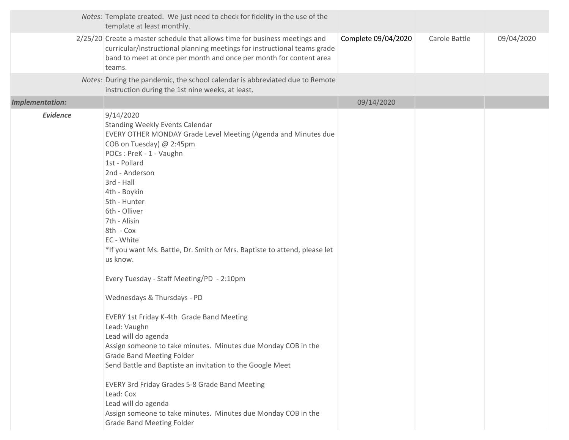| 2/25/20 Create a master schedule that allows time for business meetings and<br>Complete 09/04/2020<br>09/04/2020<br>Carole Battle<br>curricular/instructional planning meetings for instructional teams grade<br>band to meet at once per month and once per month for content area<br>teams.<br>Notes: During the pandemic, the school calendar is abbreviated due to Remote<br>instruction during the 1st nine weeks, at least.<br><b>Implementation:</b><br>09/14/2020<br><b>Evidence</b><br>9/14/2020<br><b>Standing Weekly Events Calendar</b><br>EVERY OTHER MONDAY Grade Level Meeting (Agenda and Minutes due<br>COB on Tuesday) @ 2:45pm<br>POCs: PreK - 1 - Vaughn<br>1st - Pollard<br>2nd - Anderson<br>3rd - Hall<br>4th - Boykin<br>5th - Hunter<br>6th - Olliver<br>7th - Alisin<br>8th - Cox<br>EC - White<br>*If you want Ms. Battle, Dr. Smith or Mrs. Baptiste to attend, please let<br>us know.<br>Every Tuesday - Staff Meeting/PD - 2:10pm<br>Wednesdays & Thursdays - PD<br><b>EVERY 1st Friday K-4th Grade Band Meeting</b><br>Lead: Vaughn<br>Lead will do agenda<br>Assign someone to take minutes. Minutes due Monday COB in the<br><b>Grade Band Meeting Folder</b> | Notes: Template created. We just need to check for fidelity in the use of the<br>template at least monthly. |  |  |
|------------------------------------------------------------------------------------------------------------------------------------------------------------------------------------------------------------------------------------------------------------------------------------------------------------------------------------------------------------------------------------------------------------------------------------------------------------------------------------------------------------------------------------------------------------------------------------------------------------------------------------------------------------------------------------------------------------------------------------------------------------------------------------------------------------------------------------------------------------------------------------------------------------------------------------------------------------------------------------------------------------------------------------------------------------------------------------------------------------------------------------------------------------------------------------------------|-------------------------------------------------------------------------------------------------------------|--|--|
|                                                                                                                                                                                                                                                                                                                                                                                                                                                                                                                                                                                                                                                                                                                                                                                                                                                                                                                                                                                                                                                                                                                                                                                                |                                                                                                             |  |  |
|                                                                                                                                                                                                                                                                                                                                                                                                                                                                                                                                                                                                                                                                                                                                                                                                                                                                                                                                                                                                                                                                                                                                                                                                |                                                                                                             |  |  |
|                                                                                                                                                                                                                                                                                                                                                                                                                                                                                                                                                                                                                                                                                                                                                                                                                                                                                                                                                                                                                                                                                                                                                                                                |                                                                                                             |  |  |
| Send Battle and Baptiste an invitation to the Google Meet<br><b>EVERY 3rd Friday Grades 5-8 Grade Band Meeting</b><br>Lead: Cox<br>Lead will do agenda<br>Assign someone to take minutes. Minutes due Monday COB in the<br><b>Grade Band Meeting Folder</b>                                                                                                                                                                                                                                                                                                                                                                                                                                                                                                                                                                                                                                                                                                                                                                                                                                                                                                                                    |                                                                                                             |  |  |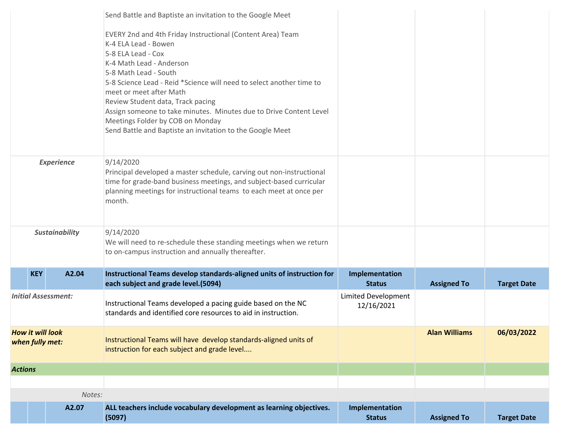|                                            |                |                       | Send Battle and Baptiste an invitation to the Google Meet                                                                                                                                                                                                                                                                                                                                                                                                                    |                                   |                      |                    |
|--------------------------------------------|----------------|-----------------------|------------------------------------------------------------------------------------------------------------------------------------------------------------------------------------------------------------------------------------------------------------------------------------------------------------------------------------------------------------------------------------------------------------------------------------------------------------------------------|-----------------------------------|----------------------|--------------------|
|                                            |                |                       | EVERY 2nd and 4th Friday Instructional (Content Area) Team<br>K-4 ELA Lead - Bowen<br>5-8 ELA Lead - Cox<br>K-4 Math Lead - Anderson<br>5-8 Math Lead - South<br>5-8 Science Lead - Reid *Science will need to select another time to<br>meet or meet after Math<br>Review Student data, Track pacing<br>Assign someone to take minutes. Minutes due to Drive Content Level<br>Meetings Folder by COB on Monday<br>Send Battle and Baptiste an invitation to the Google Meet |                                   |                      |                    |
| <b>Experience</b>                          |                |                       | 9/14/2020<br>Principal developed a master schedule, carving out non-instructional<br>time for grade-band business meetings, and subject-based curricular<br>planning meetings for instructional teams to each meet at once per<br>month.                                                                                                                                                                                                                                     |                                   |                      |                    |
|                                            |                | <b>Sustainability</b> | 9/14/2020<br>We will need to re-schedule these standing meetings when we return<br>to on-campus instruction and annually thereafter.                                                                                                                                                                                                                                                                                                                                         |                                   |                      |                    |
|                                            | <b>KEY</b>     | A2.04                 | Instructional Teams develop standards-aligned units of instruction for<br>each subject and grade level.(5094)                                                                                                                                                                                                                                                                                                                                                                | Implementation<br><b>Status</b>   | <b>Assigned To</b>   | <b>Target Date</b> |
| <b>Initial Assessment:</b>                 |                |                       | Instructional Teams developed a pacing guide based on the NC<br>standards and identified core resources to aid in instruction.                                                                                                                                                                                                                                                                                                                                               | Limited Development<br>12/16/2021 |                      |                    |
| <b>How it will look</b><br>when fully met: |                |                       | Instructional Teams will have develop standards-aligned units of<br>instruction for each subject and grade level                                                                                                                                                                                                                                                                                                                                                             |                                   | <b>Alan Williams</b> | 06/03/2022         |
|                                            | <b>Actions</b> |                       |                                                                                                                                                                                                                                                                                                                                                                                                                                                                              |                                   |                      |                    |
|                                            |                |                       |                                                                                                                                                                                                                                                                                                                                                                                                                                                                              |                                   |                      |                    |
|                                            |                | Notes:                |                                                                                                                                                                                                                                                                                                                                                                                                                                                                              |                                   |                      |                    |
|                                            |                | A2.07                 | ALL teachers include vocabulary development as learning objectives.<br>(5097)                                                                                                                                                                                                                                                                                                                                                                                                | Implementation<br><b>Status</b>   | <b>Assigned To</b>   | <b>Target Date</b> |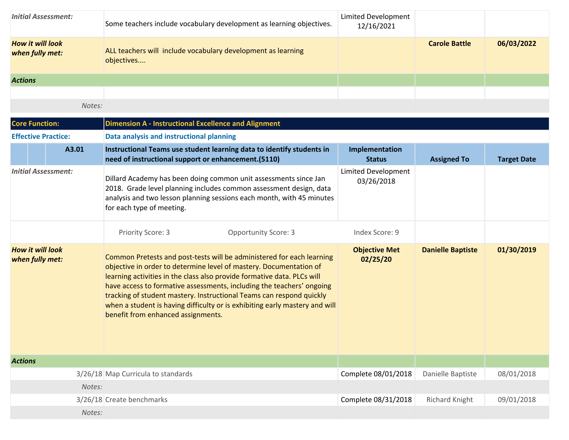| <b>Initial Assessment:</b>                 | Some teachers include vocabulary development as learning objectives.       | Limited Development<br>12/16/2021 |                      |            |
|--------------------------------------------|----------------------------------------------------------------------------|-----------------------------------|----------------------|------------|
| <b>How it will look</b><br>when fully met: | ALL teachers will include vocabulary development as learning<br>objectives |                                   | <b>Carole Battle</b> | 06/03/2022 |
| <b>Actions</b>                             |                                                                            |                                   |                      |            |
|                                            |                                                                            |                                   |                      |            |
|                                            | Notes:                                                                     |                                   |                      |            |

| <b>Core Function:</b>                      |                            | <b>Dimension A - Instructional Excellence and Alignment</b>                                                                                                                                                                                                                                                                                                                                                                                                                                  |                                   |                          |                    |  |  |
|--------------------------------------------|----------------------------|----------------------------------------------------------------------------------------------------------------------------------------------------------------------------------------------------------------------------------------------------------------------------------------------------------------------------------------------------------------------------------------------------------------------------------------------------------------------------------------------|-----------------------------------|--------------------------|--------------------|--|--|
| <b>Effective Practice:</b>                 |                            | Data analysis and instructional planning                                                                                                                                                                                                                                                                                                                                                                                                                                                     |                                   |                          |                    |  |  |
|                                            | A3.01                      | Instructional Teams use student learning data to identify students in<br>need of instructional support or enhancement. (5110)                                                                                                                                                                                                                                                                                                                                                                | Implementation<br><b>Status</b>   | <b>Assigned To</b>       | <b>Target Date</b> |  |  |
|                                            | <b>Initial Assessment:</b> | Dillard Academy has been doing common unit assessments since Jan<br>2018. Grade level planning includes common assessment design, data<br>analysis and two lesson planning sessions each month, with 45 minutes<br>for each type of meeting.                                                                                                                                                                                                                                                 | Limited Development<br>03/26/2018 |                          |                    |  |  |
|                                            |                            | Priority Score: 3<br><b>Opportunity Score: 3</b>                                                                                                                                                                                                                                                                                                                                                                                                                                             | Index Score: 9                    |                          |                    |  |  |
| <b>How it will look</b><br>when fully met: |                            | Common Pretests and post-tests will be administered for each learning<br>objective in order to determine level of mastery. Documentation of<br>learning activities in the class also provide formative data. PLCs will<br>have access to formative assessments, including the teachers' ongoing<br>tracking of student mastery. Instructional Teams can respond quickly<br>when a student is having difficulty or is exhibiting early mastery and will<br>benefit from enhanced assignments. | <b>Objective Met</b><br>02/25/20  | <b>Danielle Baptiste</b> | 01/30/2019         |  |  |
| <b>Actions</b>                             |                            |                                                                                                                                                                                                                                                                                                                                                                                                                                                                                              |                                   |                          |                    |  |  |
|                                            |                            | 3/26/18 Map Curricula to standards                                                                                                                                                                                                                                                                                                                                                                                                                                                           | Complete 08/01/2018               | Danielle Baptiste        | 08/01/2018         |  |  |
|                                            | Notes:                     |                                                                                                                                                                                                                                                                                                                                                                                                                                                                                              |                                   |                          |                    |  |  |
|                                            |                            | 3/26/18 Create benchmarks                                                                                                                                                                                                                                                                                                                                                                                                                                                                    | Complete 08/31/2018               | <b>Richard Knight</b>    | 09/01/2018         |  |  |
|                                            | Notes:                     |                                                                                                                                                                                                                                                                                                                                                                                                                                                                                              |                                   |                          |                    |  |  |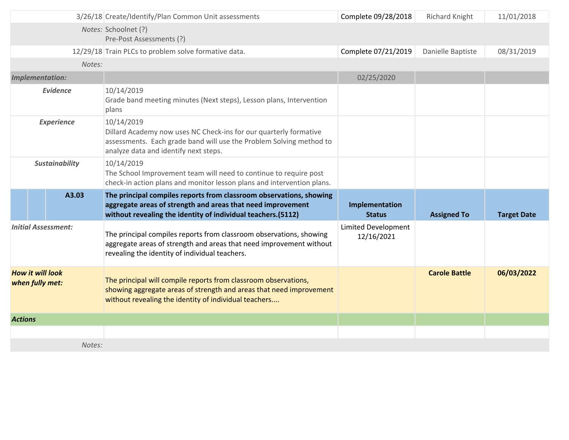|                       |                                            | 3/26/18 Create/Identify/Plan Common Unit assessments                                                                                                                                               | Complete 09/28/2018               | Richard Knight       | 11/01/2018         |
|-----------------------|--------------------------------------------|----------------------------------------------------------------------------------------------------------------------------------------------------------------------------------------------------|-----------------------------------|----------------------|--------------------|
|                       |                                            | Notes: Schoolnet (?)<br>Pre-Post Assessments (?)                                                                                                                                                   |                                   |                      |                    |
|                       |                                            | 12/29/18 Train PLCs to problem solve formative data.                                                                                                                                               | Complete 07/21/2019               | Danielle Baptiste    | 08/31/2019         |
|                       | Notes:                                     |                                                                                                                                                                                                    |                                   |                      |                    |
|                       | Implementation:                            |                                                                                                                                                                                                    | 02/25/2020                        |                      |                    |
|                       | <b>Evidence</b>                            | 10/14/2019<br>Grade band meeting minutes (Next steps), Lesson plans, Intervention<br>plans                                                                                                         |                                   |                      |                    |
| <b>Experience</b>     |                                            | 10/14/2019<br>Dillard Academy now uses NC Check-ins for our quarterly formative<br>assessments. Each grade band will use the Problem Solving method to<br>analyze data and identify next steps.    |                                   |                      |                    |
| <b>Sustainability</b> |                                            | 10/14/2019<br>The School Improvement team will need to continue to require post                                                                                                                    |                                   |                      |                    |
|                       |                                            | check-in action plans and monitor lesson plans and intervention plans.                                                                                                                             |                                   |                      |                    |
|                       | A3.03                                      | The principal compiles reports from classroom observations, showing<br>aggregate areas of strength and areas that need improvement<br>without revealing the identity of individual teachers.(5112) | Implementation<br><b>Status</b>   | <b>Assigned To</b>   | <b>Target Date</b> |
|                       | <b>Initial Assessment:</b>                 | The principal compiles reports from classroom observations, showing<br>aggregate areas of strength and areas that need improvement without<br>revealing the identity of individual teachers.       | Limited Development<br>12/16/2021 |                      |                    |
|                       | <b>How it will look</b><br>when fully met: | The principal will compile reports from classroom observations,<br>showing aggregate areas of strength and areas that need improvement<br>without revealing the identity of individual teachers    |                                   | <b>Carole Battle</b> | 06/03/2022         |
| <b>Actions</b>        |                                            |                                                                                                                                                                                                    |                                   |                      |                    |
|                       |                                            |                                                                                                                                                                                                    |                                   |                      |                    |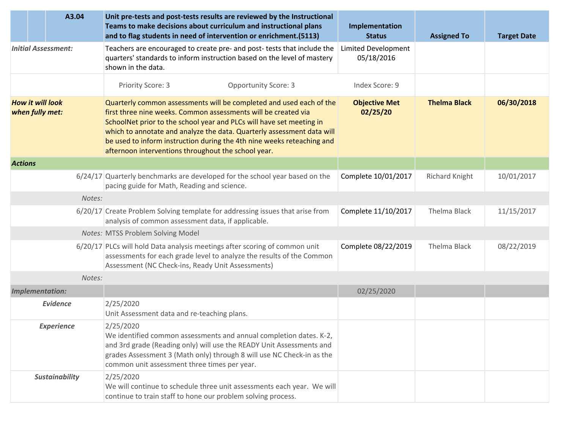|                                            | A3.04                      | Unit pre-tests and post-tests results are reviewed by the Instructional<br>Teams to make decisions about curriculum and instructional plans<br>and to flag students in need of intervention or enrichment.(5113)                                                                                                                                                                                                         | Implementation<br><b>Status</b>          | <b>Assigned To</b>  | <b>Target Date</b> |
|--------------------------------------------|----------------------------|--------------------------------------------------------------------------------------------------------------------------------------------------------------------------------------------------------------------------------------------------------------------------------------------------------------------------------------------------------------------------------------------------------------------------|------------------------------------------|---------------------|--------------------|
|                                            | <b>Initial Assessment:</b> | Teachers are encouraged to create pre- and post- tests that include the<br>quarters' standards to inform instruction based on the level of mastery<br>shown in the data.                                                                                                                                                                                                                                                 | <b>Limited Development</b><br>05/18/2016 |                     |                    |
|                                            |                            | <b>Opportunity Score: 3</b><br>Priority Score: 3                                                                                                                                                                                                                                                                                                                                                                         | Index Score: 9                           |                     |                    |
| <b>How it will look</b><br>when fully met: |                            | Quarterly common assessments will be completed and used each of the<br>first three nine weeks. Common assessments will be created via<br>SchoolNet prior to the school year and PLCs will have set meeting in<br>which to annotate and analyze the data. Quarterly assessment data will<br>be used to inform instruction during the 4th nine weeks reteaching and<br>afternoon interventions throughout the school year. | <b>Objective Met</b><br>02/25/20         | <b>Thelma Black</b> | 06/30/2018         |
| <b>Actions</b>                             |                            |                                                                                                                                                                                                                                                                                                                                                                                                                          |                                          |                     |                    |
|                                            |                            | 6/24/17 Quarterly benchmarks are developed for the school year based on the<br>pacing guide for Math, Reading and science.                                                                                                                                                                                                                                                                                               | Complete 10/01/2017                      | Richard Knight      | 10/01/2017         |
|                                            | Notes:                     |                                                                                                                                                                                                                                                                                                                                                                                                                          |                                          |                     |                    |
|                                            |                            | 6/20/17 Create Problem Solving template for addressing issues that arise from<br>analysis of common assessment data, if applicable.                                                                                                                                                                                                                                                                                      | Complete 11/10/2017                      | Thelma Black        | 11/15/2017         |
|                                            |                            | <b>Notes: MTSS Problem Solving Model</b>                                                                                                                                                                                                                                                                                                                                                                                 |                                          |                     |                    |
|                                            |                            | 6/20/17 PLCs will hold Data analysis meetings after scoring of common unit<br>assessments for each grade level to analyze the results of the Common<br>Assessment (NC Check-ins, Ready Unit Assessments)                                                                                                                                                                                                                 | Complete 08/22/2019                      | Thelma Black        | 08/22/2019         |
|                                            | Notes:                     |                                                                                                                                                                                                                                                                                                                                                                                                                          |                                          |                     |                    |
| <b>Implementation:</b>                     |                            |                                                                                                                                                                                                                                                                                                                                                                                                                          | 02/25/2020                               |                     |                    |
|                                            | <b>Evidence</b>            | 2/25/2020<br>Unit Assessment data and re-teaching plans.                                                                                                                                                                                                                                                                                                                                                                 |                                          |                     |                    |
|                                            | <b>Experience</b>          | 2/25/2020<br>We identified common assessments and annual completion dates. K-2,<br>and 3rd grade (Reading only) will use the READY Unit Assessments and<br>grades Assessment 3 (Math only) through 8 will use NC Check-in as the<br>common unit assessment three times per year.                                                                                                                                         |                                          |                     |                    |
|                                            | <b>Sustainability</b>      | 2/25/2020<br>We will continue to schedule three unit assessments each year. We will<br>continue to train staff to hone our problem solving process.                                                                                                                                                                                                                                                                      |                                          |                     |                    |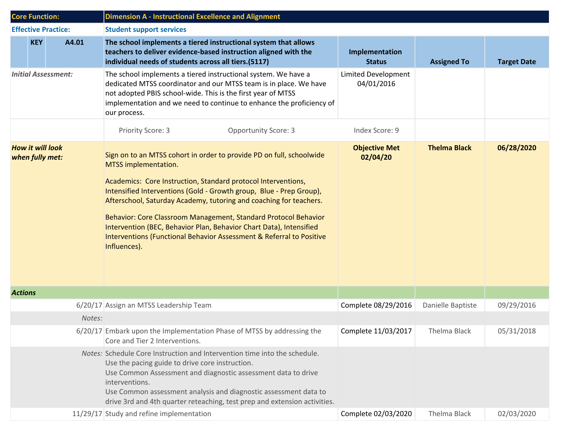| <b>Core Function:</b>                      | <b>Dimension A - Instructional Excellence and Alignment</b>                                                                                                                                                                                                                                                                                                                                                                                                                                                                                  |                                          |                     |                    |  |  |
|--------------------------------------------|----------------------------------------------------------------------------------------------------------------------------------------------------------------------------------------------------------------------------------------------------------------------------------------------------------------------------------------------------------------------------------------------------------------------------------------------------------------------------------------------------------------------------------------------|------------------------------------------|---------------------|--------------------|--|--|
| <b>Effective Practice:</b>                 | <b>Student support services</b>                                                                                                                                                                                                                                                                                                                                                                                                                                                                                                              |                                          |                     |                    |  |  |
| <b>KEY</b><br>A4.01                        | The school implements a tiered instructional system that allows<br>teachers to deliver evidence-based instruction aligned with the<br>individual needs of students across all tiers.(5117)                                                                                                                                                                                                                                                                                                                                                   | Implementation<br><b>Status</b>          | <b>Assigned To</b>  | <b>Target Date</b> |  |  |
| <b>Initial Assessment:</b>                 | The school implements a tiered instructional system. We have a<br>dedicated MTSS coordinator and our MTSS team is in place. We have<br>not adopted PBIS school-wide. This is the first year of MTSS<br>implementation and we need to continue to enhance the proficiency of<br>our process.                                                                                                                                                                                                                                                  | <b>Limited Development</b><br>04/01/2016 |                     |                    |  |  |
|                                            | Priority Score: 3<br><b>Opportunity Score: 3</b>                                                                                                                                                                                                                                                                                                                                                                                                                                                                                             | Index Score: 9                           |                     |                    |  |  |
| <b>How it will look</b><br>when fully met: | Sign on to an MTSS cohort in order to provide PD on full, schoolwide<br>MTSS implementation.<br>Academics: Core Instruction, Standard protocol Interventions,<br>Intensified Interventions (Gold - Growth group, Blue - Prep Group),<br>Afterschool, Saturday Academy, tutoring and coaching for teachers.<br>Behavior: Core Classroom Management, Standard Protocol Behavior<br>Intervention (BEC, Behavior Plan, Behavior Chart Data), Intensified<br>Interventions (Functional Behavior Assessment & Referral to Positive<br>Influences). | <b>Objective Met</b><br>02/04/20         | <b>Thelma Black</b> | 06/28/2020         |  |  |
| <b>Actions</b>                             |                                                                                                                                                                                                                                                                                                                                                                                                                                                                                                                                              |                                          |                     |                    |  |  |
|                                            | 6/20/17 Assign an MTSS Leadership Team                                                                                                                                                                                                                                                                                                                                                                                                                                                                                                       | Complete 08/29/2016                      | Danielle Baptiste   | 09/29/2016         |  |  |
|                                            | Notes:                                                                                                                                                                                                                                                                                                                                                                                                                                                                                                                                       |                                          |                     |                    |  |  |
|                                            | 6/20/17 Embark upon the Implementation Phase of MTSS by addressing the<br>Core and Tier 2 Interventions.                                                                                                                                                                                                                                                                                                                                                                                                                                     | Complete 11/03/2017                      | Thelma Black        | 05/31/2018         |  |  |
|                                            | Notes: Schedule Core Instruction and Intervention time into the schedule.<br>Use the pacing guide to drive core instruction.<br>Use Common Assessment and diagnostic assessment data to drive<br>interventions.<br>Use Common assessment analysis and diagnostic assessment data to<br>drive 3rd and 4th quarter reteaching, test prep and extension activities.                                                                                                                                                                             |                                          |                     |                    |  |  |
|                                            | 11/29/17 Study and refine implementation                                                                                                                                                                                                                                                                                                                                                                                                                                                                                                     | Complete 02/03/2020                      | Thelma Black        | 02/03/2020         |  |  |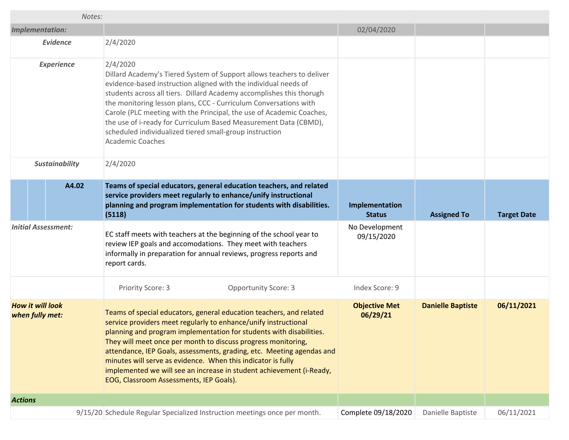| Notes:                                     |                                                                                                                                                                                                                                                                                                                                                                                                                                                                                                                                            |                                  |                          |                    |
|--------------------------------------------|--------------------------------------------------------------------------------------------------------------------------------------------------------------------------------------------------------------------------------------------------------------------------------------------------------------------------------------------------------------------------------------------------------------------------------------------------------------------------------------------------------------------------------------------|----------------------------------|--------------------------|--------------------|
| <b>Implementation:</b>                     |                                                                                                                                                                                                                                                                                                                                                                                                                                                                                                                                            | 02/04/2020                       |                          |                    |
| <b>Evidence</b>                            | 2/4/2020                                                                                                                                                                                                                                                                                                                                                                                                                                                                                                                                   |                                  |                          |                    |
| <b>Experience</b>                          | 2/4/2020<br>Dillard Academy's Tiered System of Support allows teachers to deliver<br>evidence-based instruction aligned with the individual needs of<br>students across all tiers. Dillard Academy accomplishes this thorugh<br>the monitoring lesson plans, CCC - Curriculum Conversations with<br>Carole (PLC meeting with the Principal, the use of Academic Coaches,<br>the use of i-ready for Curriculum Based Measurement Data (CBMD),<br>scheduled individualized tiered small-group instruction<br><b>Academic Coaches</b>         |                                  |                          |                    |
| <b>Sustainability</b>                      | 2/4/2020                                                                                                                                                                                                                                                                                                                                                                                                                                                                                                                                   |                                  |                          |                    |
| A4.02                                      | Teams of special educators, general education teachers, and related<br>service providers meet regularly to enhance/unify instructional<br>planning and program implementation for students with disabilities.<br>(5118)                                                                                                                                                                                                                                                                                                                    | Implementation<br><b>Status</b>  | <b>Assigned To</b>       | <b>Target Date</b> |
| <b>Initial Assessment:</b>                 | EC staff meets with teachers at the beginning of the school year to<br>review IEP goals and accomodations. They meet with teachers<br>informally in preparation for annual reviews, progress reports and<br>report cards.                                                                                                                                                                                                                                                                                                                  | No Development<br>09/15/2020     |                          |                    |
|                                            | Priority Score: 3<br><b>Opportunity Score: 3</b>                                                                                                                                                                                                                                                                                                                                                                                                                                                                                           | Index Score: 9                   |                          |                    |
| <b>How it will look</b><br>when fully met: | Teams of special educators, general education teachers, and related<br>service providers meet regularly to enhance/unify instructional<br>planning and program implementation for students with disabilities.<br>They will meet once per month to discuss progress monitoring,<br>attendance, IEP Goals, assessments, grading, etc. Meeting agendas and<br>minutes will serve as evidence. When this indicator is fully<br>implemented we will see an increase in student achievement (i-Ready,<br>EOG, Classroom Assessments, IEP Goals). | <b>Objective Met</b><br>06/29/21 | <b>Danielle Baptiste</b> | 06/11/2021         |
| <b>Actions</b>                             |                                                                                                                                                                                                                                                                                                                                                                                                                                                                                                                                            |                                  |                          |                    |
|                                            | 9/15/20 Schedule Regular Specialized Instruction meetings once per month.                                                                                                                                                                                                                                                                                                                                                                                                                                                                  | Complete 09/18/2020              | Danielle Baptiste        | 06/11/2021         |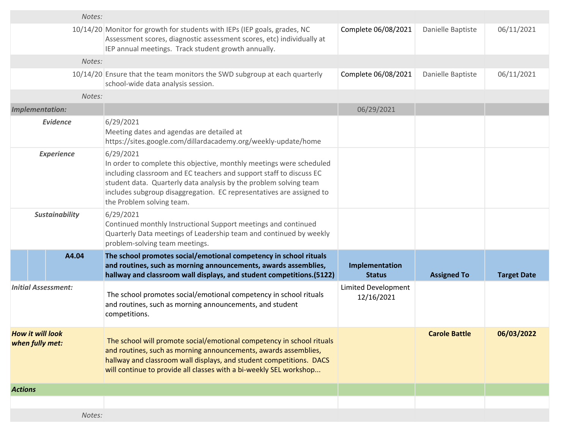| Notes:                                     |                                                                                                                                                                                                                                                                                                                                    |                                          |                      |                    |
|--------------------------------------------|------------------------------------------------------------------------------------------------------------------------------------------------------------------------------------------------------------------------------------------------------------------------------------------------------------------------------------|------------------------------------------|----------------------|--------------------|
|                                            | 10/14/20 Monitor for growth for students with IEPs (IEP goals, grades, NC<br>Assessment scores, diagnostic assessment scores, etc) individually at<br>IEP annual meetings. Track student growth annually.                                                                                                                          | Complete 06/08/2021                      | Danielle Baptiste    | 06/11/2021         |
| Notes:                                     |                                                                                                                                                                                                                                                                                                                                    |                                          |                      |                    |
|                                            | 10/14/20 Ensure that the team monitors the SWD subgroup at each quarterly<br>school-wide data analysis session.                                                                                                                                                                                                                    | Complete 06/08/2021                      | Danielle Baptiste    | 06/11/2021         |
| Notes:                                     |                                                                                                                                                                                                                                                                                                                                    |                                          |                      |                    |
| <b>Implementation:</b>                     |                                                                                                                                                                                                                                                                                                                                    | 06/29/2021                               |                      |                    |
| <b>Evidence</b>                            | 6/29/2021<br>Meeting dates and agendas are detailed at<br>https://sites.google.com/dillardacademy.org/weekly-update/home                                                                                                                                                                                                           |                                          |                      |                    |
| <b>Experience</b>                          | 6/29/2021<br>In order to complete this objective, monthly meetings were scheduled<br>including classroom and EC teachers and support staff to discuss EC<br>student data. Quarterly data analysis by the problem solving team<br>includes subgroup disaggregation. EC representatives are assigned to<br>the Problem solving team. |                                          |                      |                    |
| <b>Sustainability</b>                      | 6/29/2021<br>Continued monthly Instructional Support meetings and continued<br>Quarterly Data meetings of Leadership team and continued by weekly<br>problem-solving team meetings.                                                                                                                                                |                                          |                      |                    |
| A4.04                                      | The school promotes social/emotional competency in school rituals<br>and routines, such as morning announcements, awards assemblies,<br>hallway and classroom wall displays, and student competitions.(5122)                                                                                                                       | Implementation<br><b>Status</b>          | <b>Assigned To</b>   | <b>Target Date</b> |
| <b>Initial Assessment:</b>                 | The school promotes social/emotional competency in school rituals<br>and routines, such as morning announcements, and student<br>competitions.                                                                                                                                                                                     | <b>Limited Development</b><br>12/16/2021 |                      |                    |
| <b>How it will look</b><br>when fully met: | The school will promote social/emotional competency in school rituals<br>and routines, such as morning announcements, awards assemblies,<br>hallway and classroom wall displays, and student competitions. DACS<br>will continue to provide all classes with a bi-weekly SEL workshop                                              |                                          | <b>Carole Battle</b> | 06/03/2022         |
| <b>Actions</b>                             |                                                                                                                                                                                                                                                                                                                                    |                                          |                      |                    |
|                                            |                                                                                                                                                                                                                                                                                                                                    |                                          |                      |                    |
| Notes:                                     |                                                                                                                                                                                                                                                                                                                                    |                                          |                      |                    |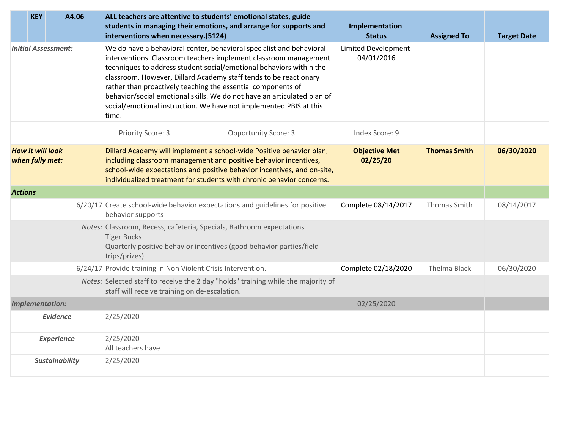| A4.06<br><b>KEY</b>                        |  | ALL teachers are attentive to students' emotional states, guide<br>students in managing their emotions, and arrange for supports and<br>interventions when necessary.(5124)                                                                                                                                                                                                                                                                                                                                    | Implementation<br><b>Status</b>          | <b>Assigned To</b>  | <b>Target Date</b> |
|--------------------------------------------|--|----------------------------------------------------------------------------------------------------------------------------------------------------------------------------------------------------------------------------------------------------------------------------------------------------------------------------------------------------------------------------------------------------------------------------------------------------------------------------------------------------------------|------------------------------------------|---------------------|--------------------|
| <b>Initial Assessment:</b>                 |  | We do have a behavioral center, behavioral specialist and behavioral<br>interventions. Classroom teachers implement classroom management<br>techniques to address student social/emotional behaviors within the<br>classroom. However, Dillard Academy staff tends to be reactionary<br>rather than proactively teaching the essential components of<br>behavior/social emotional skills. We do not have an articulated plan of<br>social/emotional instruction. We have not implemented PBIS at this<br>time. | <b>Limited Development</b><br>04/01/2016 |                     |                    |
|                                            |  | <b>Opportunity Score: 3</b><br>Priority Score: 3                                                                                                                                                                                                                                                                                                                                                                                                                                                               | Index Score: 9                           |                     |                    |
| <b>How it will look</b><br>when fully met: |  | Dillard Academy will implement a school-wide Positive behavior plan,<br>including classroom management and positive behavior incentives,<br>school-wide expectations and positive behavior incentives, and on-site,<br>individualized treatment for students with chronic behavior concerns.                                                                                                                                                                                                                   | <b>Objective Met</b><br>02/25/20         | <b>Thomas Smith</b> | 06/30/2020         |
| <b>Actions</b>                             |  |                                                                                                                                                                                                                                                                                                                                                                                                                                                                                                                |                                          |                     |                    |
|                                            |  | 6/20/17 Create school-wide behavior expectations and guidelines for positive<br>behavior supports                                                                                                                                                                                                                                                                                                                                                                                                              | Complete 08/14/2017                      | Thomas Smith        | 08/14/2017         |
|                                            |  | Notes: Classroom, Recess, cafeteria, Specials, Bathroom expectations<br><b>Tiger Bucks</b><br>Quarterly positive behavior incentives (good behavior parties/field<br>trips/prizes)                                                                                                                                                                                                                                                                                                                             |                                          |                     |                    |
|                                            |  | 6/24/17 Provide training in Non Violent Crisis Intervention.                                                                                                                                                                                                                                                                                                                                                                                                                                                   | Complete 02/18/2020                      | <b>Thelma Black</b> | 06/30/2020         |
|                                            |  | Notes: Selected staff to receive the 2 day "holds" training while the majority of<br>staff will receive training on de-escalation.                                                                                                                                                                                                                                                                                                                                                                             |                                          |                     |                    |
| <b>Implementation:</b>                     |  |                                                                                                                                                                                                                                                                                                                                                                                                                                                                                                                | 02/25/2020                               |                     |                    |
| <b>Evidence</b>                            |  | 2/25/2020                                                                                                                                                                                                                                                                                                                                                                                                                                                                                                      |                                          |                     |                    |
| <b>Experience</b>                          |  | 2/25/2020<br>All teachers have                                                                                                                                                                                                                                                                                                                                                                                                                                                                                 |                                          |                     |                    |
| <b>Sustainability</b>                      |  | 2/25/2020                                                                                                                                                                                                                                                                                                                                                                                                                                                                                                      |                                          |                     |                    |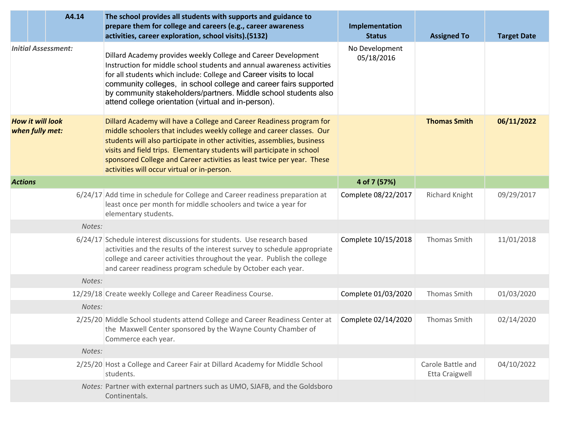|                                            |  | A4.14  | The school provides all students with supports and guidance to<br>prepare them for college and careers (e.g., career awareness<br>activities, career exploration, school visits).(5132)                                                                                                                                                                                                                                      | Implementation<br><b>Status</b> | <b>Assigned To</b>                  | <b>Target Date</b> |
|--------------------------------------------|--|--------|------------------------------------------------------------------------------------------------------------------------------------------------------------------------------------------------------------------------------------------------------------------------------------------------------------------------------------------------------------------------------------------------------------------------------|---------------------------------|-------------------------------------|--------------------|
| <b>Initial Assessment:</b>                 |  |        | Dillard Academy provides weekly College and Career Development<br>Instruction for middle school students and annual awareness activities<br>for all students which include: College and Career visits to local<br>community colleges, in school college and career fairs supported<br>by community stakeholders/partners. Middle school students also<br>attend college orientation (virtual and in-person).                 | No Development<br>05/18/2016    |                                     |                    |
| <b>How it will look</b><br>when fully met: |  |        | Dillard Academy will have a College and Career Readiness program for<br>middle schoolers that includes weekly college and career classes. Our<br>students will also participate in other activities, assemblies, business<br>visits and field trips. Elementary students will participate in school<br>sponsored College and Career activities as least twice per year. These<br>activities will occur virtual or in-person. |                                 | <b>Thomas Smith</b>                 | 06/11/2022         |
| <b>Actions</b>                             |  |        |                                                                                                                                                                                                                                                                                                                                                                                                                              | 4 of 7 (57%)                    |                                     |                    |
|                                            |  |        | 6/24/17 Add time in schedule for College and Career readiness preparation at<br>least once per month for middle schoolers and twice a year for<br>elementary students.                                                                                                                                                                                                                                                       | Complete 08/22/2017             | <b>Richard Knight</b>               | 09/29/2017         |
|                                            |  | Notes: |                                                                                                                                                                                                                                                                                                                                                                                                                              |                                 |                                     |                    |
|                                            |  |        | 6/24/17 Schedule interest discussions for students. Use research based<br>activities and the results of the interest survey to schedule appropriate<br>college and career activities throughout the year. Publish the college<br>and career readiness program schedule by October each year.                                                                                                                                 | Complete 10/15/2018             | Thomas Smith                        | 11/01/2018         |
|                                            |  | Notes: |                                                                                                                                                                                                                                                                                                                                                                                                                              |                                 |                                     |                    |
|                                            |  |        | 12/29/18 Create weekly College and Career Readiness Course.                                                                                                                                                                                                                                                                                                                                                                  | Complete 01/03/2020             | Thomas Smith                        | 01/03/2020         |
|                                            |  | Notes: |                                                                                                                                                                                                                                                                                                                                                                                                                              |                                 |                                     |                    |
|                                            |  |        | 2/25/20 Middle School students attend College and Career Readiness Center at<br>the Maxwell Center sponsored by the Wayne County Chamber of<br>Commerce each year.                                                                                                                                                                                                                                                           | Complete 02/14/2020             | <b>Thomas Smith</b>                 | 02/14/2020         |
|                                            |  | Notes: |                                                                                                                                                                                                                                                                                                                                                                                                                              |                                 |                                     |                    |
|                                            |  |        | 2/25/20 Host a College and Career Fair at Dillard Academy for Middle School<br>students.                                                                                                                                                                                                                                                                                                                                     |                                 | Carole Battle and<br>Etta Craigwell | 04/10/2022         |
|                                            |  |        | Notes: Partner with external partners such as UMO, SJAFB, and the Goldsboro<br>Continentals.                                                                                                                                                                                                                                                                                                                                 |                                 |                                     |                    |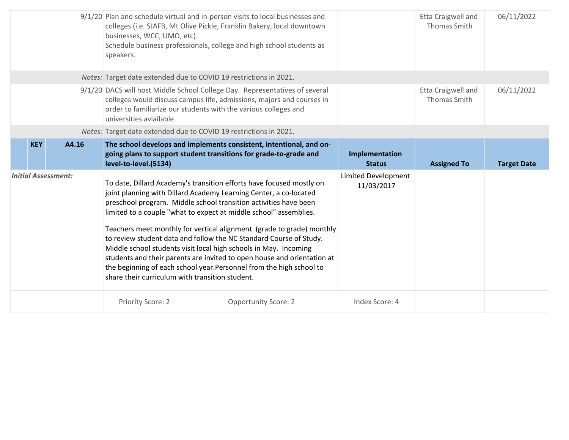|                            |       | 9/1/20 Plan and schedule virtual and in-person visits to local businesses and<br>colleges (i.e. SJAFB, Mt Olive Pickle, Franklin Bakery, local downtown<br>businesses, WCC, UMO, etc).<br>Schedule business professionals, college and high school students as<br>speakers.                                                                                                                                                                                                                                                                                                                                                                                                                                 |                                   | <b>Etta Craigwell and</b><br>Thomas Smith | 06/11/2022         |
|----------------------------|-------|-------------------------------------------------------------------------------------------------------------------------------------------------------------------------------------------------------------------------------------------------------------------------------------------------------------------------------------------------------------------------------------------------------------------------------------------------------------------------------------------------------------------------------------------------------------------------------------------------------------------------------------------------------------------------------------------------------------|-----------------------------------|-------------------------------------------|--------------------|
|                            |       | Notes: Target date extended due to COVID 19 restrictions in 2021.                                                                                                                                                                                                                                                                                                                                                                                                                                                                                                                                                                                                                                           |                                   |                                           |                    |
|                            |       | 9/1/20 DACS will host Middle School College Day. Representatives of several<br>colleges would discuss campus life, admissions, majors and courses in<br>order to familiarize our students with the various colleges and<br>universities aviailable.                                                                                                                                                                                                                                                                                                                                                                                                                                                         |                                   | Etta Craigwell and<br><b>Thomas Smith</b> | 06/11/2022         |
|                            |       | Notes: Target date extended due to COVID 19 restrictions in 2021.                                                                                                                                                                                                                                                                                                                                                                                                                                                                                                                                                                                                                                           |                                   |                                           |                    |
| <b>KEY</b>                 | A4.16 | The school develops and implements consistent, intentional, and on-<br>going plans to support student transitions for grade-to-grade and                                                                                                                                                                                                                                                                                                                                                                                                                                                                                                                                                                    | Implementation                    |                                           |                    |
|                            |       | level-to-level.(5134)                                                                                                                                                                                                                                                                                                                                                                                                                                                                                                                                                                                                                                                                                       | <b>Status</b>                     | <b>Assigned To</b>                        | <b>Target Date</b> |
| <b>Initial Assessment:</b> |       | To date, Dillard Academy's transition efforts have focused mostly on<br>joint planning with Dillard Academy Learning Center, a co-located<br>preschool program. Middle school transition activities have been<br>limited to a couple "what to expect at middle school" assemblies.<br>Teachers meet monthly for vertical alignment (grade to grade) monthly<br>to review student data and follow the NC Standard Course of Study.<br>Middle school students visit local high schools in May. Incoming<br>students and their parents are invited to open house and orientation at<br>the beginning of each school year. Personnel from the high school to<br>share their curriculum with transition student. | Limited Development<br>11/03/2017 |                                           |                    |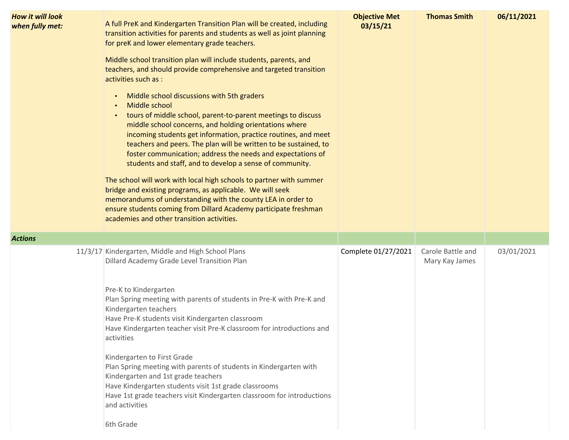| How it will look<br>when fully met: | A full PreK and Kindergarten Transition Plan will be created, including<br>transition activities for parents and students as well as joint planning<br>for preK and lower elementary grade teachers.<br>Middle school transition plan will include students, parents, and<br>teachers, and should provide comprehensive and targeted transition<br>activities such as :<br>Middle school discussions with 5th graders<br>$\bullet$<br>Middle school<br>$\bullet$<br>tours of middle school, parent-to-parent meetings to discuss<br>middle school concerns, and holding orientations where<br>incoming students get information, practice routines, and meet<br>teachers and peers. The plan will be written to be sustained, to<br>foster communication; address the needs and expectations of<br>students and staff, and to develop a sense of community.<br>The school will work with local high schools to partner with summer<br>bridge and existing programs, as applicable. We will seek<br>memorandums of understanding with the county LEA in order to<br>ensure students coming from Dillard Academy participate freshman<br>academies and other transition activities. | <b>Objective Met</b><br>03/15/21 | <b>Thomas Smith</b>                 | 06/11/2021 |
|-------------------------------------|-----------------------------------------------------------------------------------------------------------------------------------------------------------------------------------------------------------------------------------------------------------------------------------------------------------------------------------------------------------------------------------------------------------------------------------------------------------------------------------------------------------------------------------------------------------------------------------------------------------------------------------------------------------------------------------------------------------------------------------------------------------------------------------------------------------------------------------------------------------------------------------------------------------------------------------------------------------------------------------------------------------------------------------------------------------------------------------------------------------------------------------------------------------------------------------|----------------------------------|-------------------------------------|------------|
| Actions                             |                                                                                                                                                                                                                                                                                                                                                                                                                                                                                                                                                                                                                                                                                                                                                                                                                                                                                                                                                                                                                                                                                                                                                                                   |                                  |                                     |            |
|                                     | 11/3/17 Kindergarten, Middle and High School Plans<br>Dillard Academy Grade Level Transition Plan<br>Pre-K to Kindergarten<br>Plan Spring meeting with parents of students in Pre-K with Pre-K and<br>Kindergarten teachers<br>Have Pre-K students visit Kindergarten classroom<br>Have Kindergarten teacher visit Pre-K classroom for introductions and<br>activities<br>Kindergarten to First Grade<br>Plan Spring meeting with parents of students in Kindergarten with<br>Kindergarten and 1st grade teachers<br>Have Kindergarten students visit 1st grade classrooms<br>Have 1st grade teachers visit Kindergarten classroom for introductions<br>and activities<br>6th Grade                                                                                                                                                                                                                                                                                                                                                                                                                                                                                               | Complete 01/27/2021              | Carole Battle and<br>Mary Kay James | 03/01/2021 |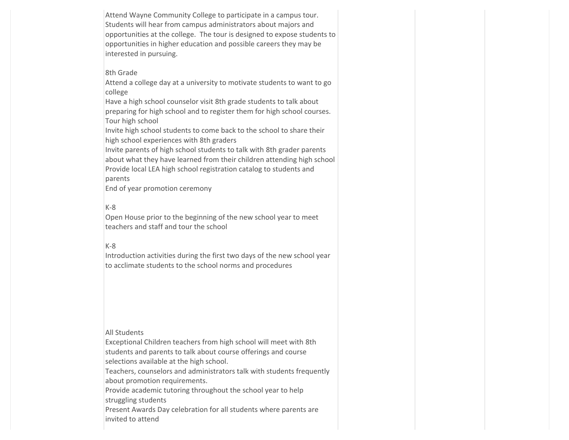Attend Wayne Community College to participate in a campus tour. Students will hear from campus administrators about majors and opportunities at the college. The tour is designed to expose students to opportunities in higher education and possible careers they may be interested in pursuing.

### 8th Grade

Attend a college day at a university to motivate students to want to go college

Have a high school counselor visit 8th grade students to talk about preparing for high school and to register them for high school courses. Tour high school

Invite high school students to come back to the school to share their high school experiences with 8th graders

Invite parents of high school students to talk with 8th grader parents about what they have learned from their children attending high school Provide local LEA high school registration catalog to students and parents

End of year promotion ceremony

## K-8

Open House prior to the beginning of the new school year to meet teachers and staff and tour the school

# K-8

Introduction activities during the first two days of the new school year to acclimate students to the school norms and procedures

#### All Students

Exceptional Children teachers from high school will meet with 8th students and parents to talk about course offerings and course selections available at the high school.

Teachers, counselors and administrators talk with students frequently about promotion requirements.

Provide academic tutoring throughout the school year to help struggling students

Present Awards Day celebration for all students where parents are invited to attend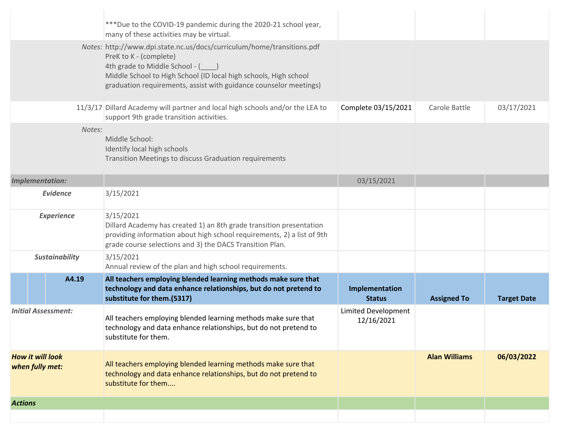|                                            | *** Due to the COVID-19 pandemic during the 2020-21 school year,<br>many of these activities may be virtual.                                                                                                                                                                |                                          |                      |                    |
|--------------------------------------------|-----------------------------------------------------------------------------------------------------------------------------------------------------------------------------------------------------------------------------------------------------------------------------|------------------------------------------|----------------------|--------------------|
|                                            | Notes: http://www.dpi.state.nc.us/docs/curriculum/home/transitions.pdf<br>PreK to K - (complete)<br>4th grade to Middle School - (<br>Middle School to High School (ID local high schools, High school<br>graduation requirements, assist with guidance counselor meetings) |                                          |                      |                    |
|                                            | 11/3/17 Dillard Academy will partner and local high schools and/or the LEA to<br>support 9th grade transition activities.                                                                                                                                                   | Complete 03/15/2021                      | Carole Battle        | 03/17/2021         |
| Notes:                                     | Middle School:<br>Identify local high schools<br>Transition Meetings to discuss Graduation requirements                                                                                                                                                                     |                                          |                      |                    |
| <b>Implementation:</b>                     |                                                                                                                                                                                                                                                                             | 03/15/2021                               |                      |                    |
| Evidence                                   | 3/15/2021                                                                                                                                                                                                                                                                   |                                          |                      |                    |
| <b>Experience</b>                          | 3/15/2021<br>Dillard Academy has created 1) an 8th grade transition presentation<br>providing information about high school requirements, 2) a list of 9th<br>grade course selections and 3) the DACS Transition Plan.                                                      |                                          |                      |                    |
| <b>Sustainability</b>                      | 3/15/2021<br>Annual review of the plan and high school requirements.                                                                                                                                                                                                        |                                          |                      |                    |
| A4.19                                      | All teachers employing blended learning methods make sure that<br>technology and data enhance relationships, but do not pretend to<br>substitute for them.(5317)                                                                                                            | Implementation<br><b>Status</b>          | <b>Assigned To</b>   | <b>Target Date</b> |
| <b>Initial Assessment:</b>                 | All teachers employing blended learning methods make sure that<br>technology and data enhance relationships, but do not pretend to<br>substitute for them.                                                                                                                  | <b>Limited Development</b><br>12/16/2021 |                      |                    |
| <b>How it will look</b><br>when fully met: | All teachers employing blended learning methods make sure that<br>technology and data enhance relationships, but do not pretend to<br>substitute for them                                                                                                                   |                                          | <b>Alan Williams</b> | 06/03/2022         |
| <b>Actions</b>                             |                                                                                                                                                                                                                                                                             |                                          |                      |                    |
|                                            |                                                                                                                                                                                                                                                                             |                                          |                      |                    |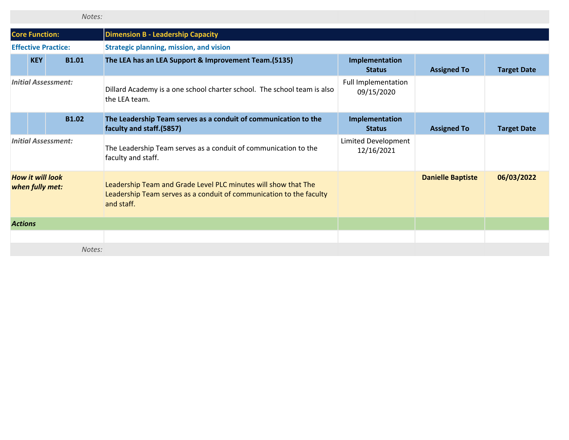|                                                                   |            | Notes:                     |                                                                                                                                                     |                                   |                          |                    |
|-------------------------------------------------------------------|------------|----------------------------|-----------------------------------------------------------------------------------------------------------------------------------------------------|-----------------------------------|--------------------------|--------------------|
| <b>Core Function:</b><br><b>Dimension B - Leadership Capacity</b> |            |                            |                                                                                                                                                     |                                   |                          |                    |
|                                                                   |            | <b>Effective Practice:</b> | <b>Strategic planning, mission, and vision</b>                                                                                                      |                                   |                          |                    |
|                                                                   | <b>KEY</b> | <b>B1.01</b>               | The LEA has an LEA Support & Improvement Team.(5135)                                                                                                | Implementation<br><b>Status</b>   | <b>Assigned To</b>       | <b>Target Date</b> |
| <b>Initial Assessment:</b>                                        |            |                            | Dillard Academy is a one school charter school. The school team is also<br>the LEA team.                                                            | Full Implementation<br>09/15/2020 |                          |                    |
|                                                                   |            | <b>B1.02</b>               | The Leadership Team serves as a conduit of communication to the<br>faculty and staff.(5857)                                                         | Implementation<br><b>Status</b>   | <b>Assigned To</b>       | <b>Target Date</b> |
|                                                                   |            | <b>Initial Assessment:</b> | The Leadership Team serves as a conduit of communication to the<br>faculty and staff.                                                               | Limited Development<br>12/16/2021 |                          |                    |
| <b>How it will look</b><br>when fully met:                        |            |                            | Leadership Team and Grade Level PLC minutes will show that The<br>Leadership Team serves as a conduit of communication to the faculty<br>and staff. |                                   | <b>Danielle Baptiste</b> | 06/03/2022         |
| <b>Actions</b>                                                    |            |                            |                                                                                                                                                     |                                   |                          |                    |
|                                                                   |            |                            |                                                                                                                                                     |                                   |                          |                    |
|                                                                   |            | Notes:                     |                                                                                                                                                     |                                   |                          |                    |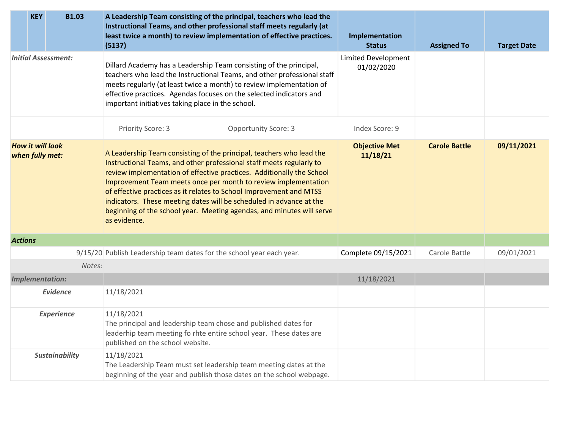|                                            | <b>KEY</b> | <b>B1.03</b>           | A Leadership Team consisting of the principal, teachers who lead the<br>Instructional Teams, and other professional staff meets regularly (at<br>least twice a month) to review implementation of effective practices.<br>(5137)                                                                                                                                                                                                                                                                                               | Implementation<br><b>Status</b>          | <b>Assigned To</b>   | <b>Target Date</b> |
|--------------------------------------------|------------|------------------------|--------------------------------------------------------------------------------------------------------------------------------------------------------------------------------------------------------------------------------------------------------------------------------------------------------------------------------------------------------------------------------------------------------------------------------------------------------------------------------------------------------------------------------|------------------------------------------|----------------------|--------------------|
| <b>Initial Assessment:</b>                 |            |                        | Dillard Academy has a Leadership Team consisting of the principal,<br>teachers who lead the Instructional Teams, and other professional staff<br>meets regularly (at least twice a month) to review implementation of<br>effective practices. Agendas focuses on the selected indicators and<br>important initiatives taking place in the school.                                                                                                                                                                              | <b>Limited Development</b><br>01/02/2020 |                      |                    |
|                                            |            |                        | <b>Opportunity Score: 3</b><br>Priority Score: 3                                                                                                                                                                                                                                                                                                                                                                                                                                                                               | Index Score: 9                           |                      |                    |
| <b>How it will look</b><br>when fully met: |            |                        | A Leadership Team consisting of the principal, teachers who lead the<br>Instructional Teams, and other professional staff meets regularly to<br>review implementation of effective practices. Additionally the School<br>Improvement Team meets once per month to review implementation<br>of effective practices as it relates to School Improvement and MTSS<br>indicators. These meeting dates will be scheduled in advance at the<br>beginning of the school year. Meeting agendas, and minutes will serve<br>as evidence. | <b>Objective Met</b><br>11/18/21         | <b>Carole Battle</b> | 09/11/2021         |
| <b>Actions</b>                             |            |                        |                                                                                                                                                                                                                                                                                                                                                                                                                                                                                                                                |                                          |                      |                    |
|                                            |            |                        | 9/15/20 Publish Leadership team dates for the school year each year.                                                                                                                                                                                                                                                                                                                                                                                                                                                           | Complete 09/15/2021                      | Carole Battle        | 09/01/2021         |
|                                            |            | Notes:                 |                                                                                                                                                                                                                                                                                                                                                                                                                                                                                                                                |                                          |                      |                    |
|                                            |            | <b>Implementation:</b> |                                                                                                                                                                                                                                                                                                                                                                                                                                                                                                                                | 11/18/2021                               |                      |                    |
|                                            |            | <b>Evidence</b>        | 11/18/2021                                                                                                                                                                                                                                                                                                                                                                                                                                                                                                                     |                                          |                      |                    |
|                                            |            | <b>Experience</b>      | 11/18/2021<br>The principal and leadership team chose and published dates for<br>leaderhip team meeting fo rhte entire school year. These dates are<br>published on the school website.                                                                                                                                                                                                                                                                                                                                        |                                          |                      |                    |
|                                            |            | <b>Sustainability</b>  | 11/18/2021<br>The Leadership Team must set leadership team meeting dates at the<br>beginning of the year and publish those dates on the school webpage.                                                                                                                                                                                                                                                                                                                                                                        |                                          |                      |                    |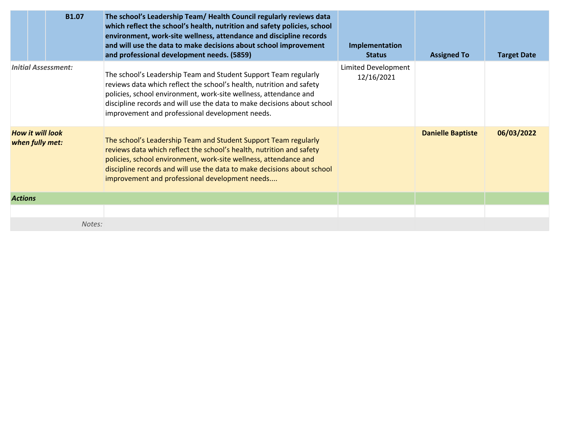| <b>B1.07</b>                               | The school's Leadership Team/ Health Council regularly reviews data<br>which reflect the school's health, nutrition and safety policies, school<br>environment, work-site wellness, attendance and discipline records<br>and will use the data to make decisions about school improvement<br>and professional development needs. (5859)   | Implementation<br><b>Status</b>   | <b>Assigned To</b>       | <b>Target Date</b> |
|--------------------------------------------|-------------------------------------------------------------------------------------------------------------------------------------------------------------------------------------------------------------------------------------------------------------------------------------------------------------------------------------------|-----------------------------------|--------------------------|--------------------|
| <b>Initial Assessment:</b>                 | The school's Leadership Team and Student Support Team regularly<br>reviews data which reflect the school's health, nutrition and safety<br>policies, school environment, work-site wellness, attendance and<br>discipline records and will use the data to make decisions about school<br>improvement and professional development needs. | Limited Development<br>12/16/2021 |                          |                    |
| <b>How it will look</b><br>when fully met: | The school's Leadership Team and Student Support Team regularly<br>reviews data which reflect the school's health, nutrition and safety<br>policies, school environment, work-site wellness, attendance and<br>discipline records and will use the data to make decisions about school<br>improvement and professional development needs  |                                   | <b>Danielle Baptiste</b> | 06/03/2022         |
| <b>Actions</b>                             |                                                                                                                                                                                                                                                                                                                                           |                                   |                          |                    |
|                                            |                                                                                                                                                                                                                                                                                                                                           |                                   |                          |                    |
| Notes:                                     |                                                                                                                                                                                                                                                                                                                                           |                                   |                          |                    |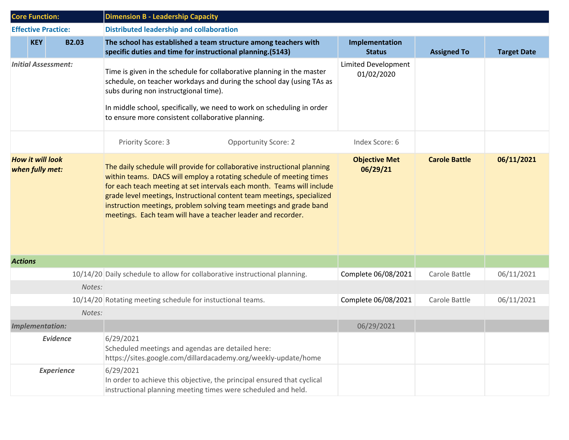| <b>Core Function:</b>                      | <b>Dimension B - Leadership Capacity</b>                                                                                                                                                                                                                                                                                                                                                                                                  |                                   |                      |                    |  |
|--------------------------------------------|-------------------------------------------------------------------------------------------------------------------------------------------------------------------------------------------------------------------------------------------------------------------------------------------------------------------------------------------------------------------------------------------------------------------------------------------|-----------------------------------|----------------------|--------------------|--|
| <b>Effective Practice:</b>                 | <b>Distributed leadership and collaboration</b>                                                                                                                                                                                                                                                                                                                                                                                           |                                   |                      |                    |  |
| <b>KEY</b><br><b>B2.03</b>                 | The school has established a team structure among teachers with<br>specific duties and time for instructional planning.(5143)                                                                                                                                                                                                                                                                                                             | Implementation<br><b>Status</b>   | <b>Assigned To</b>   | <b>Target Date</b> |  |
| <b>Initial Assessment:</b>                 | Time is given in the schedule for collaborative planning in the master<br>schedule, on teacher workdays and during the school day (using TAs as<br>subs during non instructgional time).<br>In middle school, specifically, we need to work on scheduling in order<br>to ensure more consistent collaborative planning.                                                                                                                   | Limited Development<br>01/02/2020 |                      |                    |  |
|                                            | Priority Score: 3<br><b>Opportunity Score: 2</b>                                                                                                                                                                                                                                                                                                                                                                                          | Index Score: 6                    |                      |                    |  |
| <b>How it will look</b><br>when fully met: | The daily schedule will provide for collaborative instructional planning<br>within teams. DACS will employ a rotating schedule of meeting times<br>for each teach meeting at set intervals each month. Teams will include<br>grade level meetings, Instructional content team meetings, specialized<br>instruction meetings, problem solving team meetings and grade band<br>meetings. Each team will have a teacher leader and recorder. | <b>Objective Met</b><br>06/29/21  | <b>Carole Battle</b> | 06/11/2021         |  |
| <b>Actions</b>                             |                                                                                                                                                                                                                                                                                                                                                                                                                                           |                                   |                      |                    |  |
|                                            | 10/14/20 Daily schedule to allow for collaborative instructional planning.                                                                                                                                                                                                                                                                                                                                                                | Complete 06/08/2021               | Carole Battle        | 06/11/2021         |  |
| Notes:                                     |                                                                                                                                                                                                                                                                                                                                                                                                                                           |                                   |                      |                    |  |
|                                            | 10/14/20 Rotating meeting schedule for instuctional teams.                                                                                                                                                                                                                                                                                                                                                                                | Complete 06/08/2021               | Carole Battle        | 06/11/2021         |  |
| Notes:                                     |                                                                                                                                                                                                                                                                                                                                                                                                                                           |                                   |                      |                    |  |
| <b>Implementation:</b>                     |                                                                                                                                                                                                                                                                                                                                                                                                                                           | 06/29/2021                        |                      |                    |  |
| <b>Evidence</b>                            | 6/29/2021<br>Scheduled meetings and agendas are detailed here:<br>https://sites.google.com/dillardacademy.org/weekly-update/home                                                                                                                                                                                                                                                                                                          |                                   |                      |                    |  |
| <b>Experience</b>                          | 6/29/2021<br>In order to achieve this objective, the principal ensured that cyclical<br>instructional planning meeting times were scheduled and held.                                                                                                                                                                                                                                                                                     |                                   |                      |                    |  |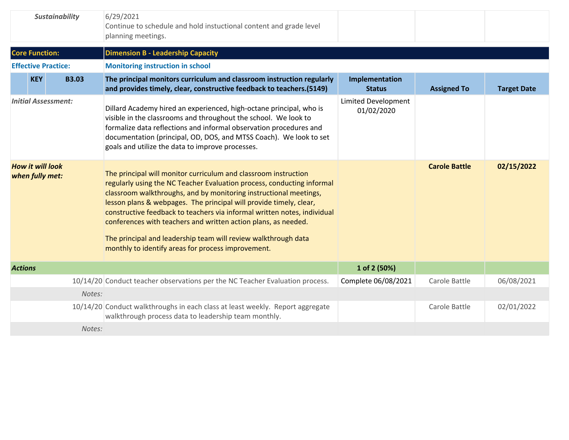| <b>Sustainability</b>                      |                            |              | 6/29/2021<br>Continue to schedule and hold instuctional content and grade level<br>planning meetings.                                                                                                                                                                                                                                                                                                                                                                                                                                                      |                                   |                      |                    |
|--------------------------------------------|----------------------------|--------------|------------------------------------------------------------------------------------------------------------------------------------------------------------------------------------------------------------------------------------------------------------------------------------------------------------------------------------------------------------------------------------------------------------------------------------------------------------------------------------------------------------------------------------------------------------|-----------------------------------|----------------------|--------------------|
|                                            | <b>Core Function:</b>      |              | <b>Dimension B - Leadership Capacity</b>                                                                                                                                                                                                                                                                                                                                                                                                                                                                                                                   |                                   |                      |                    |
|                                            | <b>Effective Practice:</b> |              | <b>Monitoring instruction in school</b>                                                                                                                                                                                                                                                                                                                                                                                                                                                                                                                    |                                   |                      |                    |
|                                            | <b>KEY</b>                 | <b>B3.03</b> | The principal monitors curriculum and classroom instruction regularly<br>and provides timely, clear, constructive feedback to teachers.(5149)                                                                                                                                                                                                                                                                                                                                                                                                              | Implementation<br><b>Status</b>   | <b>Assigned To</b>   | <b>Target Date</b> |
| <b>Initial Assessment:</b>                 |                            |              | Dillard Academy hired an experienced, high-octane principal, who is<br>visible in the classrooms and throughout the school. We look to<br>formalize data reflections and informal observation procedures and<br>documentation (principal, OD, DOS, and MTSS Coach). We look to set<br>goals and utilize the data to improve processes.                                                                                                                                                                                                                     | Limited Development<br>01/02/2020 |                      |                    |
| <b>How it will look</b><br>when fully met: |                            |              | The principal will monitor curriculum and classroom instruction<br>regularly using the NC Teacher Evaluation process, conducting informal<br>classroom walkthroughs, and by monitoring instructional meetings,<br>lesson plans & webpages. The principal will provide timely, clear,<br>constructive feedback to teachers via informal written notes, individual<br>conferences with teachers and written action plans, as needed.<br>The principal and leadership team will review walkthrough data<br>monthly to identify areas for process improvement. |                                   | <b>Carole Battle</b> | 02/15/2022         |
| <b>Actions</b>                             |                            |              |                                                                                                                                                                                                                                                                                                                                                                                                                                                                                                                                                            | 1 of 2 (50%)                      |                      |                    |
|                                            |                            |              | 10/14/20 Conduct teacher observations per the NC Teacher Evaluation process.                                                                                                                                                                                                                                                                                                                                                                                                                                                                               | Complete 06/08/2021               | Carole Battle        | 06/08/2021         |
|                                            |                            | Notes:       |                                                                                                                                                                                                                                                                                                                                                                                                                                                                                                                                                            |                                   |                      |                    |
|                                            |                            |              | 10/14/20 Conduct walkthroughs in each class at least weekly. Report aggregate<br>walkthrough process data to leadership team monthly.                                                                                                                                                                                                                                                                                                                                                                                                                      |                                   | Carole Battle        | 02/01/2022         |
|                                            |                            | Notes:       |                                                                                                                                                                                                                                                                                                                                                                                                                                                                                                                                                            |                                   |                      |                    |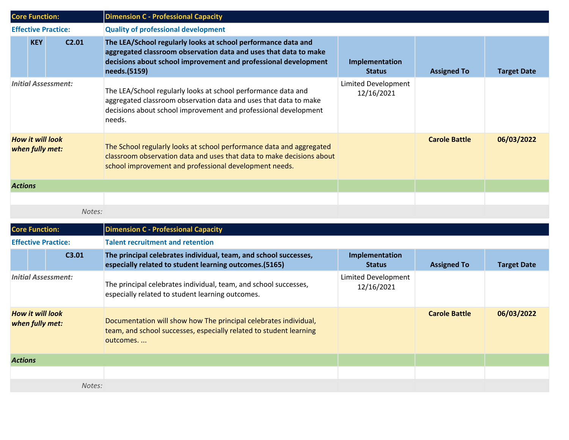| <b>Core Function:</b>                      |                       |                   | <b>Dimension C - Professional Capacity</b>                                                                                                                                                                           |                                   |                      |                    |  |
|--------------------------------------------|-----------------------|-------------------|----------------------------------------------------------------------------------------------------------------------------------------------------------------------------------------------------------------------|-----------------------------------|----------------------|--------------------|--|
| <b>Effective Practice:</b>                 |                       |                   | <b>Quality of professional development</b>                                                                                                                                                                           |                                   |                      |                    |  |
|                                            | <b>KEY</b>            | C <sub>2.01</sub> | The LEA/School regularly looks at school performance data and<br>aggregated classroom observation data and uses that data to make<br>decisions about school improvement and professional development<br>needs.(5159) | Implementation<br><b>Status</b>   | <b>Assigned To</b>   | <b>Target Date</b> |  |
| <b>Initial Assessment:</b>                 |                       |                   | The LEA/School regularly looks at school performance data and<br>aggregated classroom observation data and uses that data to make<br>decisions about school improvement and professional development<br>needs.       | Limited Development<br>12/16/2021 |                      |                    |  |
| <b>How it will look</b><br>when fully met: |                       |                   | The School regularly looks at school performance data and aggregated<br>classroom observation data and uses that data to make decisions about<br>school improvement and professional development needs.              |                                   | <b>Carole Battle</b> | 06/03/2022         |  |
| <b>Actions</b>                             |                       |                   |                                                                                                                                                                                                                      |                                   |                      |                    |  |
|                                            |                       |                   |                                                                                                                                                                                                                      |                                   |                      |                    |  |
|                                            |                       | Notes:            |                                                                                                                                                                                                                      |                                   |                      |                    |  |
|                                            | <b>Core Function:</b> |                   | <b>Dimension C - Professional Capacity</b>                                                                                                                                                                           |                                   |                      |                    |  |
| <b>Effective Practice:</b>                 |                       |                   | <b>Talent recruitment and retention</b>                                                                                                                                                                              |                                   |                      |                    |  |
|                                            |                       | C3.01             | The principal celebrates individual, team, and school successes,<br>especially related to student learning outcomes.(5165)                                                                                           | Implementation<br><b>Status</b>   | <b>Assigned To</b>   | <b>Target Date</b> |  |
| <b>Initial Assessment:</b>                 |                       |                   | The principal celebrates individual, team, and school successes,<br>especially related to student learning outcomes.                                                                                                 | Limited Development<br>12/16/2021 |                      |                    |  |

**Carole Battle 06/03/2022**

*Notes:*

**when fully met:** Documentation will show how The principal celebrates individual,

outcomes. ...

team, and school successes, especially related to student learning

*How it will look*

*Actions*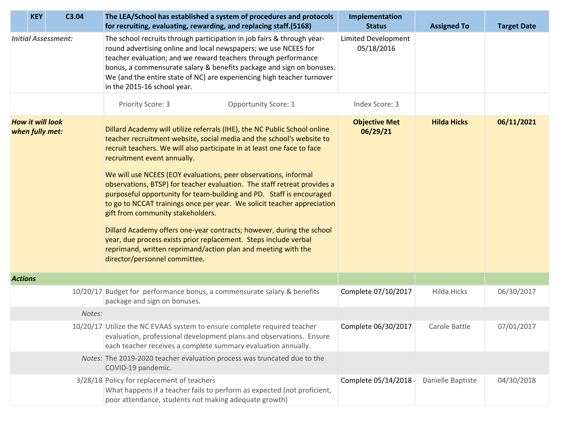| <b>KEY</b>                                 | C3.04  | The LEA/School has established a system of procedures and protocols<br>for recruiting, evaluating, rewarding, and replacing staff.(5168)                                                                                                                                                                                                                                                                                                                                                                                                                                                                                                                                                                                                                                                                                                           | Implementation<br><b>Status</b>          | <b>Assigned To</b> | <b>Target Date</b> |
|--------------------------------------------|--------|----------------------------------------------------------------------------------------------------------------------------------------------------------------------------------------------------------------------------------------------------------------------------------------------------------------------------------------------------------------------------------------------------------------------------------------------------------------------------------------------------------------------------------------------------------------------------------------------------------------------------------------------------------------------------------------------------------------------------------------------------------------------------------------------------------------------------------------------------|------------------------------------------|--------------------|--------------------|
| <b>Initial Assessment:</b>                 |        | The school recruits through participation in job fairs & through year-<br>round advertising online and local newspapers; we use NCEES for<br>teacher evaluation; and we reward teachers through performance<br>bonus, a commensurate salary & benefits package and sign on bonuses.<br>We (and the entire state of NC) are experiencing high teacher turnover<br>in the 2015-16 school year.                                                                                                                                                                                                                                                                                                                                                                                                                                                       | <b>Limited Development</b><br>05/18/2016 |                    |                    |
|                                            |        | Priority Score: 3<br>Opportunity Score: 1                                                                                                                                                                                                                                                                                                                                                                                                                                                                                                                                                                                                                                                                                                                                                                                                          | Index Score: 3                           |                    |                    |
| <b>How it will look</b><br>when fully met: |        | Dillard Academy will utilize referrals (IHE), the NC Public School online<br>teacher recruitment website, social media and the school's website to<br>recruit teachers. We will also participate in at least one face to face<br>recruitment event annually.<br>We will use NCEES (EOY evaluations, peer observations, informal<br>observations, BTSP) for teacher evaluation. The staff retreat provides a<br>purposeful opportunity for team-building and PD. Staff is encouraged<br>to go to NCCAT trainings once per year. We solicit teacher appreciation<br>gift from community stakeholders.<br>Dillard Academy offers one-year contracts; however, during the school<br>year, due process exists prior replacement. Steps include verbal<br>reprimand, written reprimand/action plan and meeting with the<br>director/personnel committee. | <b>Objective Met</b><br>06/29/21         | <b>Hilda Hicks</b> | 06/11/2021         |
| <b>Actions</b>                             |        |                                                                                                                                                                                                                                                                                                                                                                                                                                                                                                                                                                                                                                                                                                                                                                                                                                                    |                                          |                    |                    |
|                                            |        | 10/20/17 Budget for performance bonus, a commensurate salary & benefits<br>package and sign on bonuses.                                                                                                                                                                                                                                                                                                                                                                                                                                                                                                                                                                                                                                                                                                                                            | Complete 07/10/2017                      | Hilda Hicks        | 06/30/2017         |
|                                            | Notes: |                                                                                                                                                                                                                                                                                                                                                                                                                                                                                                                                                                                                                                                                                                                                                                                                                                                    |                                          |                    |                    |
|                                            |        | 10/20/17 Utilize the NC EVAAS system to ensure complete required teacher<br>evaluation, professional development plans and observations. Ensure<br>each teacher receives a complete summary evaluation annually.                                                                                                                                                                                                                                                                                                                                                                                                                                                                                                                                                                                                                                   | Complete 06/30/2017                      | Carole Battle      | 07/01/2017         |
|                                            |        | Notes: The 2019-2020 teacher evaluation process was truncated due to the<br>COVID-19 pandemic.                                                                                                                                                                                                                                                                                                                                                                                                                                                                                                                                                                                                                                                                                                                                                     |                                          |                    |                    |
|                                            |        | 3/28/18 Policy for replacement of teachers<br>What happens if a teacher fails to perform as expected (not proficient,<br>poor attendance, students not making adequate growth)                                                                                                                                                                                                                                                                                                                                                                                                                                                                                                                                                                                                                                                                     | Complete 05/14/2018                      | Danielle Baptiste  | 04/30/2018         |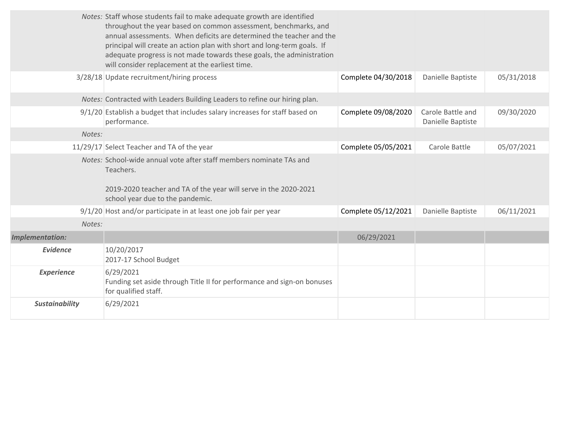|                        | Notes: Staff whose students fail to make adequate growth are identified<br>throughout the year based on common assessment, benchmarks, and<br>annual assessments. When deficits are determined the teacher and the<br>principal will create an action plan with short and long-term goals. If<br>adequate progress is not made towards these goals, the administration<br>will consider replacement at the earliest time. |                     |                                        |            |
|------------------------|---------------------------------------------------------------------------------------------------------------------------------------------------------------------------------------------------------------------------------------------------------------------------------------------------------------------------------------------------------------------------------------------------------------------------|---------------------|----------------------------------------|------------|
|                        | 3/28/18 Update recruitment/hiring process                                                                                                                                                                                                                                                                                                                                                                                 | Complete 04/30/2018 | Danielle Baptiste                      | 05/31/2018 |
|                        | Notes: Contracted with Leaders Building Leaders to refine our hiring plan.                                                                                                                                                                                                                                                                                                                                                |                     |                                        |            |
|                        | 9/1/20 Establish a budget that includes salary increases for staff based on<br>performance.                                                                                                                                                                                                                                                                                                                               | Complete 09/08/2020 | Carole Battle and<br>Danielle Baptiste | 09/30/2020 |
| Notes:                 |                                                                                                                                                                                                                                                                                                                                                                                                                           |                     |                                        |            |
|                        | 11/29/17 Select Teacher and TA of the year                                                                                                                                                                                                                                                                                                                                                                                | Complete 05/05/2021 | Carole Battle                          | 05/07/2021 |
|                        | Notes: School-wide annual vote after staff members nominate TAs and<br>Teachers.<br>2019-2020 teacher and TA of the year will serve in the 2020-2021<br>school year due to the pandemic.                                                                                                                                                                                                                                  |                     |                                        |            |
|                        | 9/1/20 Host and/or participate in at least one job fair per year                                                                                                                                                                                                                                                                                                                                                          | Complete 05/12/2021 | Danielle Baptiste                      | 06/11/2021 |
| Notes:                 |                                                                                                                                                                                                                                                                                                                                                                                                                           |                     |                                        |            |
| <b>Implementation:</b> |                                                                                                                                                                                                                                                                                                                                                                                                                           | 06/29/2021          |                                        |            |
| <b>Evidence</b>        | 10/20/2017<br>2017-17 School Budget                                                                                                                                                                                                                                                                                                                                                                                       |                     |                                        |            |
| <b>Experience</b>      | 6/29/2021<br>Funding set aside through Title II for performance and sign-on bonuses<br>for qualified staff.                                                                                                                                                                                                                                                                                                               |                     |                                        |            |
| <b>Sustainability</b>  | 6/29/2021                                                                                                                                                                                                                                                                                                                                                                                                                 |                     |                                        |            |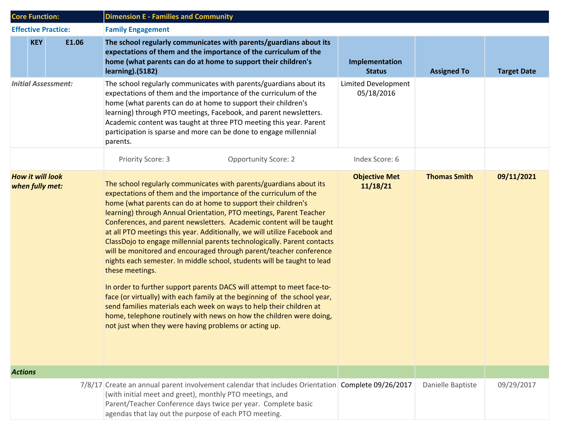| <b>Core Function:</b>                      | <b>Dimension E - Families and Community</b>                                                                                                                                                                                                                                                                                                                                                                                                                                                                                                                                                                                                                                                                                                                                                                                                                                                                                                                                                                                                     |                                   |                     |                    |  |
|--------------------------------------------|-------------------------------------------------------------------------------------------------------------------------------------------------------------------------------------------------------------------------------------------------------------------------------------------------------------------------------------------------------------------------------------------------------------------------------------------------------------------------------------------------------------------------------------------------------------------------------------------------------------------------------------------------------------------------------------------------------------------------------------------------------------------------------------------------------------------------------------------------------------------------------------------------------------------------------------------------------------------------------------------------------------------------------------------------|-----------------------------------|---------------------|--------------------|--|
| <b>Effective Practice:</b>                 | <b>Family Engagement</b>                                                                                                                                                                                                                                                                                                                                                                                                                                                                                                                                                                                                                                                                                                                                                                                                                                                                                                                                                                                                                        |                                   |                     |                    |  |
| <b>KEY</b><br>E1.06                        | The school regularly communicates with parents/guardians about its<br>expectations of them and the importance of the curriculum of the<br>home (what parents can do at home to support their children's<br>learning).(5182)                                                                                                                                                                                                                                                                                                                                                                                                                                                                                                                                                                                                                                                                                                                                                                                                                     | Implementation<br><b>Status</b>   | <b>Assigned To</b>  | <b>Target Date</b> |  |
| <b>Initial Assessment:</b>                 | The school regularly communicates with parents/guardians about its<br>expectations of them and the importance of the curriculum of the<br>home (what parents can do at home to support their children's<br>learning) through PTO meetings, Facebook, and parent newsletters.<br>Academic content was taught at three PTO meeting this year. Parent<br>participation is sparse and more can be done to engage millennial<br>parents.                                                                                                                                                                                                                                                                                                                                                                                                                                                                                                                                                                                                             | Limited Development<br>05/18/2016 |                     |                    |  |
|                                            | <b>Opportunity Score: 2</b><br>Priority Score: 3                                                                                                                                                                                                                                                                                                                                                                                                                                                                                                                                                                                                                                                                                                                                                                                                                                                                                                                                                                                                | Index Score: 6                    |                     |                    |  |
| <b>How it will look</b><br>when fully met: | The school regularly communicates with parents/guardians about its<br>expectations of them and the importance of the curriculum of the<br>home (what parents can do at home to support their children's<br>learning) through Annual Orientation, PTO meetings, Parent Teacher<br>Conferences, and parent newsletters. Academic content will be taught<br>at all PTO meetings this year. Additionally, we will utilize Facebook and<br>ClassDojo to engage millennial parents technologically. Parent contacts<br>will be monitored and encouraged through parent/teacher conference<br>nights each semester. In middle school, students will be taught to lead<br>these meetings.<br>In order to further support parents DACS will attempt to meet face-to-<br>face (or virtually) with each family at the beginning of the school year,<br>send families materials each week on ways to help their children at<br>home, telephone routinely with news on how the children were doing,<br>not just when they were having problems or acting up. | <b>Objective Met</b><br>11/18/21  | <b>Thomas Smith</b> | 09/11/2021         |  |
| <b>Actions</b>                             |                                                                                                                                                                                                                                                                                                                                                                                                                                                                                                                                                                                                                                                                                                                                                                                                                                                                                                                                                                                                                                                 |                                   |                     |                    |  |
|                                            | 7/8/17 Create an annual parent involvement calendar that includes Orientation Complete 09/26/2017<br>(with initial meet and greet), monthly PTO meetings, and<br>Parent/Teacher Conference days twice per year. Complete basic<br>agendas that lay out the purpose of each PTO meeting.                                                                                                                                                                                                                                                                                                                                                                                                                                                                                                                                                                                                                                                                                                                                                         |                                   | Danielle Baptiste   | 09/29/2017         |  |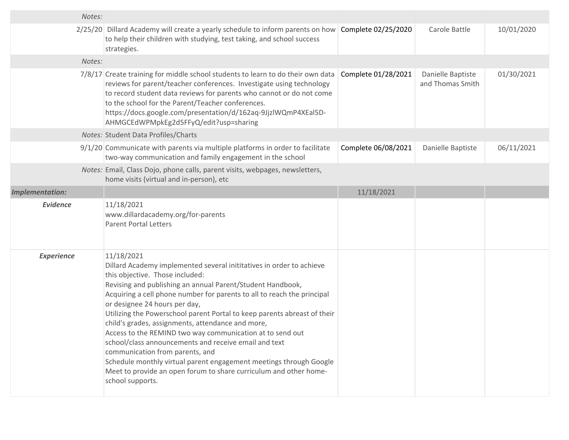| Notes:                 |                                                                                                                                                                                                                                                                                                                                                                                                                                                                                                                                                                                                                                                                                                                                                          |                     |                                       |            |
|------------------------|----------------------------------------------------------------------------------------------------------------------------------------------------------------------------------------------------------------------------------------------------------------------------------------------------------------------------------------------------------------------------------------------------------------------------------------------------------------------------------------------------------------------------------------------------------------------------------------------------------------------------------------------------------------------------------------------------------------------------------------------------------|---------------------|---------------------------------------|------------|
|                        | 2/25/20 Dillard Academy will create a yearly schedule to inform parents on how<br>to help their children with studying, test taking, and school success<br>strategies.                                                                                                                                                                                                                                                                                                                                                                                                                                                                                                                                                                                   | Complete 02/25/2020 | Carole Battle                         | 10/01/2020 |
| Notes:                 |                                                                                                                                                                                                                                                                                                                                                                                                                                                                                                                                                                                                                                                                                                                                                          |                     |                                       |            |
|                        | 7/8/17 Create training for middle school students to learn to do their own data<br>reviews for parent/teacher conferences. Investigate using technology<br>to record student data reviews for parents who cannot or do not come<br>to the school for the Parent/Teacher conferences.<br>https://docs.google.com/presentation/d/162aq-9JjzlWQmP4XEal5D-<br>AHMGCEdWPMpkEg2d5FFyQ/edit?usp=sharing                                                                                                                                                                                                                                                                                                                                                         | Complete 01/28/2021 | Danielle Baptiste<br>and Thomas Smith | 01/30/2021 |
|                        | Notes: Student Data Profiles/Charts                                                                                                                                                                                                                                                                                                                                                                                                                                                                                                                                                                                                                                                                                                                      |                     |                                       |            |
|                        | $9/1/20$ Communicate with parents via multiple platforms in order to facilitate<br>two-way communication and family engagement in the school                                                                                                                                                                                                                                                                                                                                                                                                                                                                                                                                                                                                             | Complete 06/08/2021 | Danielle Baptiste                     | 06/11/2021 |
|                        | Notes: Email, Class Dojo, phone calls, parent visits, webpages, newsletters,<br>home visits (virtual and in-person), etc                                                                                                                                                                                                                                                                                                                                                                                                                                                                                                                                                                                                                                 |                     |                                       |            |
| <b>Implementation:</b> |                                                                                                                                                                                                                                                                                                                                                                                                                                                                                                                                                                                                                                                                                                                                                          | 11/18/2021          |                                       |            |
| <b>Evidence</b>        | 11/18/2021<br>www.dillardacademy.org/for-parents<br><b>Parent Portal Letters</b>                                                                                                                                                                                                                                                                                                                                                                                                                                                                                                                                                                                                                                                                         |                     |                                       |            |
| <b>Experience</b>      | 11/18/2021<br>Dillard Academy implemented several inititatives in order to achieve<br>this objective. Those included:<br>Revising and publishing an annual Parent/Student Handbook,<br>Acquiring a cell phone number for parents to all to reach the principal<br>or designee 24 hours per day,<br>Utilizing the Powerschool parent Portal to keep parents abreast of their<br>child's grades, assignments, attendance and more,<br>Access to the REMIND two way communication at to send out<br>school/class announcements and receive email and text<br>communication from parents, and<br>Schedule monthly virtual parent engagement meetings through Google<br>Meet to provide an open forum to share curriculum and other home-<br>school supports. |                     |                                       |            |